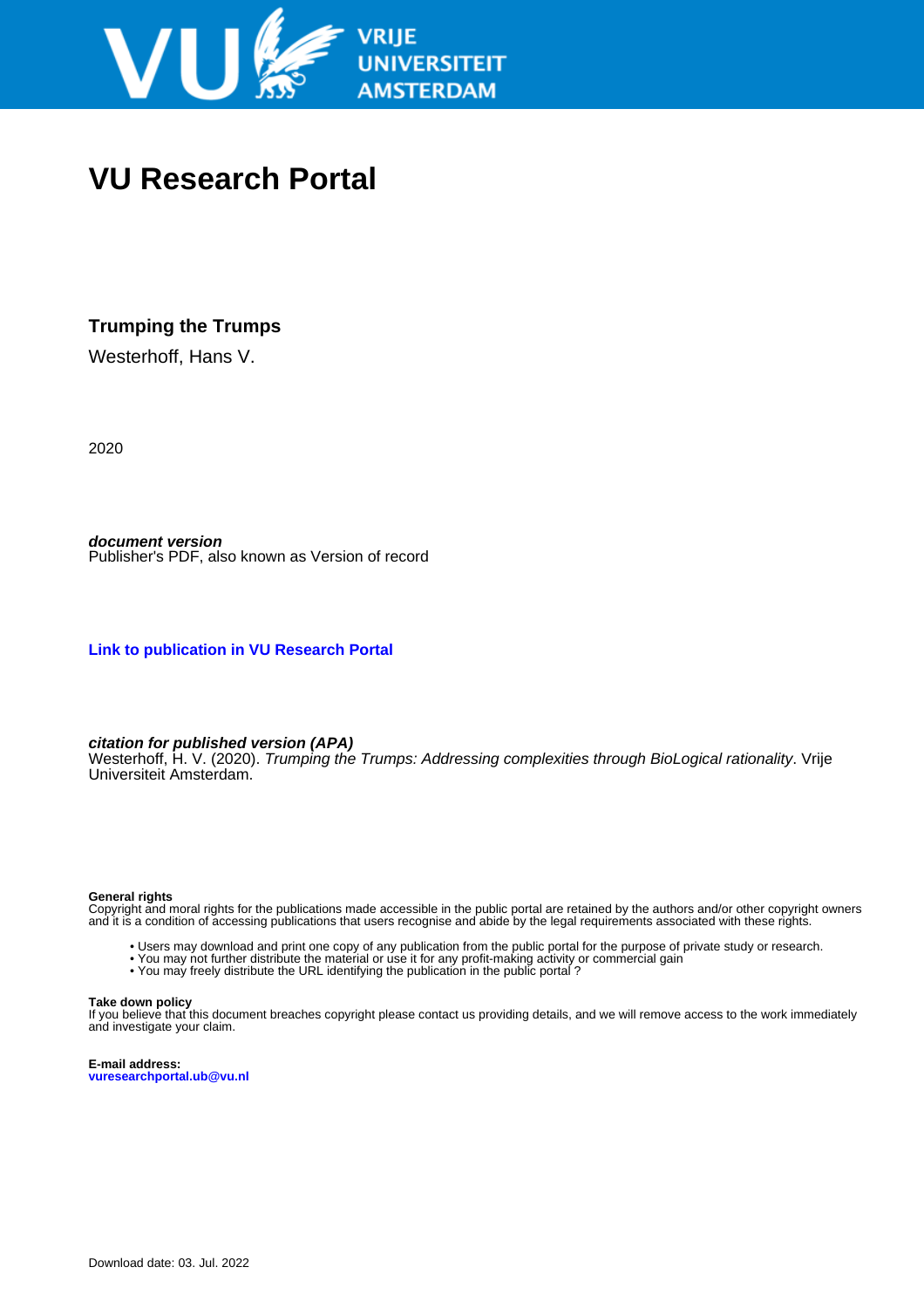

# **VU Research Portal**

### **Trumping the Trumps**

Westerhoff, Hans V.

2020

**document version** Publisher's PDF, also known as Version of record

**[Link to publication in VU Research Portal](https://research.vu.nl/en/publications/d98e92d9-ab09-4f04-a064-1d7240a234df)**

#### **citation for published version (APA)**

Westerhoff, H. V. (2020). Trumping the Trumps: Addressing complexities through BioLogical rationality. Vrije Universiteit Amsterdam.

#### **General rights**

Copyright and moral rights for the publications made accessible in the public portal are retained by the authors and/or other copyright owners and it is a condition of accessing publications that users recognise and abide by the legal requirements associated with these rights.

- Users may download and print one copy of any publication from the public portal for the purpose of private study or research.
- You may not further distribute the material or use it for any profit-making activity or commercial gain
- You may freely distribute the URL identifying the publication in the public portal?

#### **Take down policy**

If you believe that this document breaches copyright please contact us providing details, and we will remove access to the work immediately and investigate your claim.

**E-mail address: vuresearchportal.ub@vu.nl**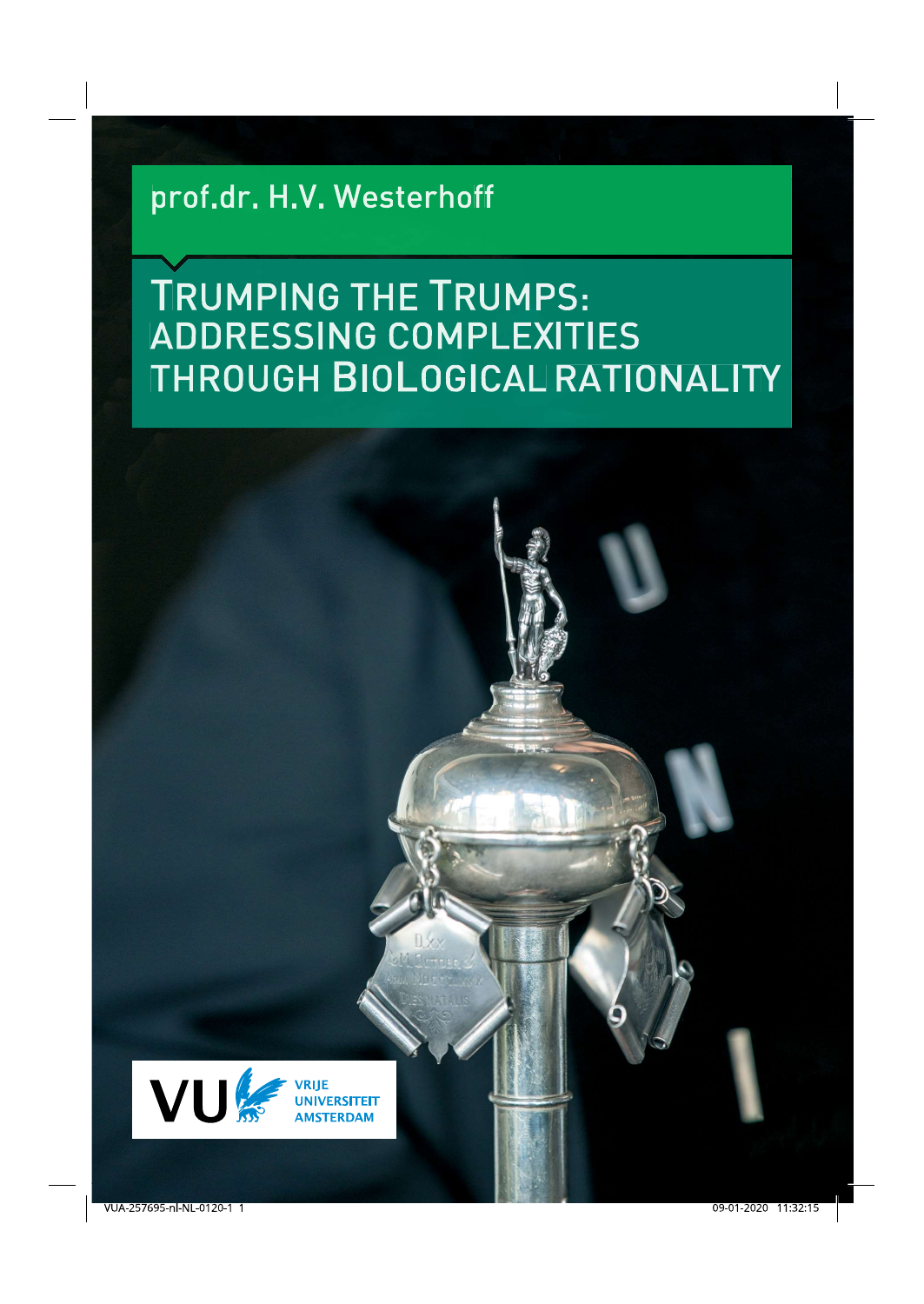# prof.dr. H.V. Westerhoff

# **TRUMPING THE TRUMPS: ADDRESSING COMPLEXITIES** THROUGH BIOLOGICAL RATIONALITY

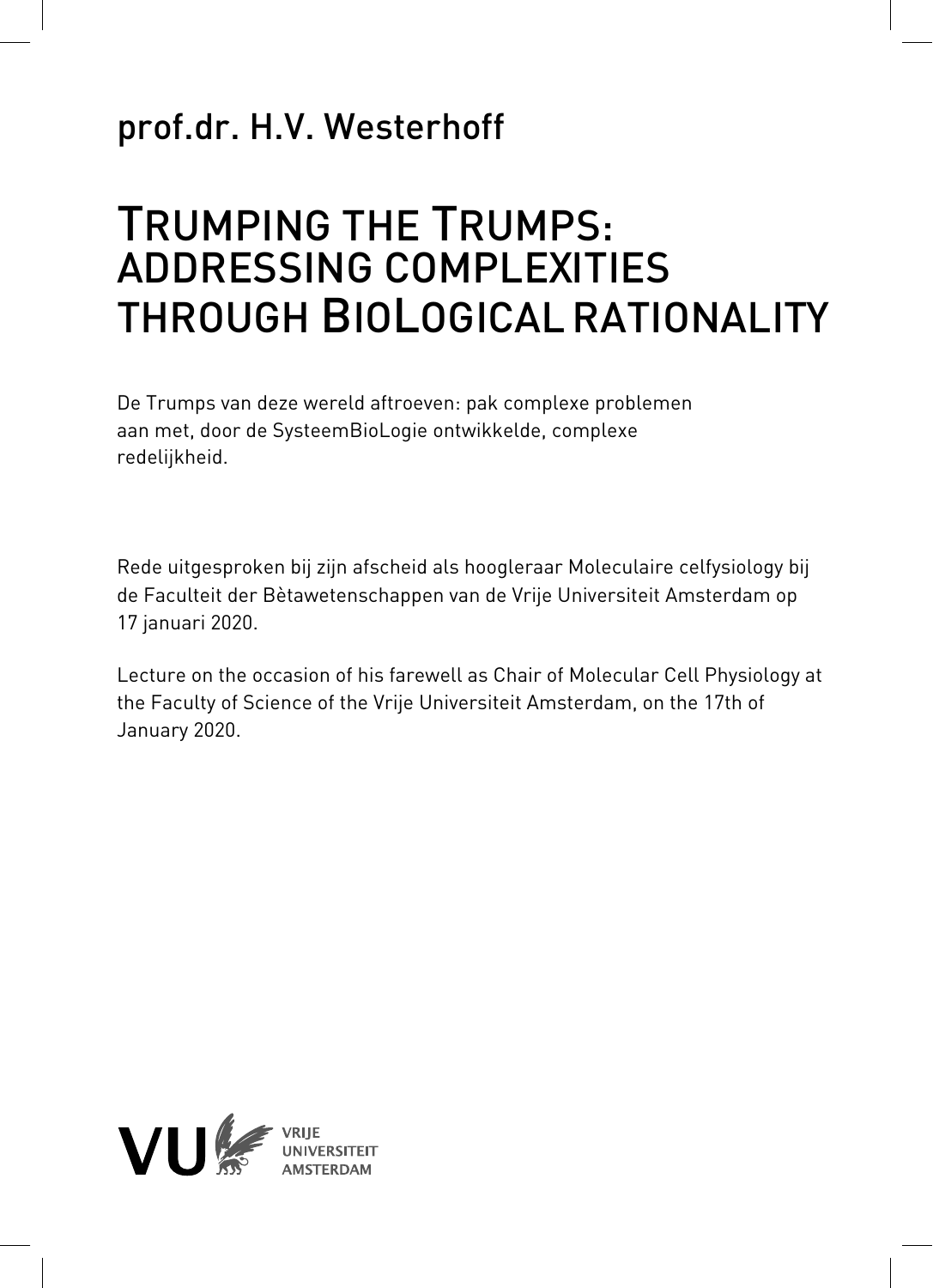## prof.dr. H.V. Westerhoff

# TRUMPING THE TRUMPS: ADDRESSING COMPLEXITIES THROUGH BIOLOGICALRATIONALITY

De Trumps van deze wereld aftroeven: pak complexe problemen aan met, door de SysteemBioLogie ontwikkelde, complexe redelijkheid.

Rede uitgesproken bij zijn afscheid als hoogleraar Moleculaire celfysiology bij de Faculteit der Bètawetenschappen van de Vrije Universiteit Amsterdam op 17 januari 2020.

Lecture on the occasion of his farewell as Chair of Molecular Cell Physiology at the Faculty of Science of the Vrije Universiteit Amsterdam, on the 17th of January 2020.

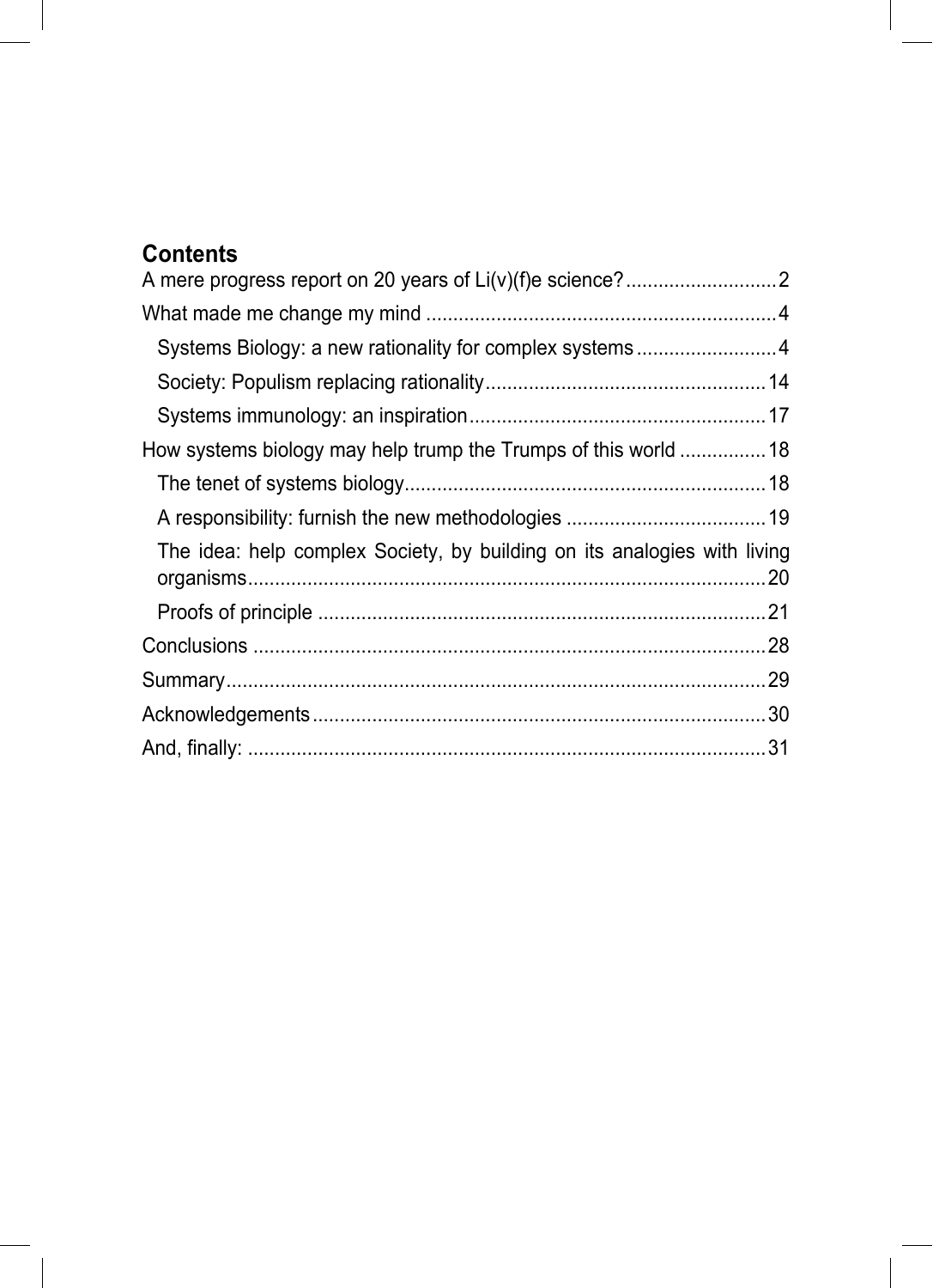## **Contents**

| How systems biology may help trump the Trumps of this world 18           |  |
|--------------------------------------------------------------------------|--|
|                                                                          |  |
|                                                                          |  |
| The idea: help complex Society, by building on its analogies with living |  |
|                                                                          |  |
|                                                                          |  |
|                                                                          |  |
|                                                                          |  |
|                                                                          |  |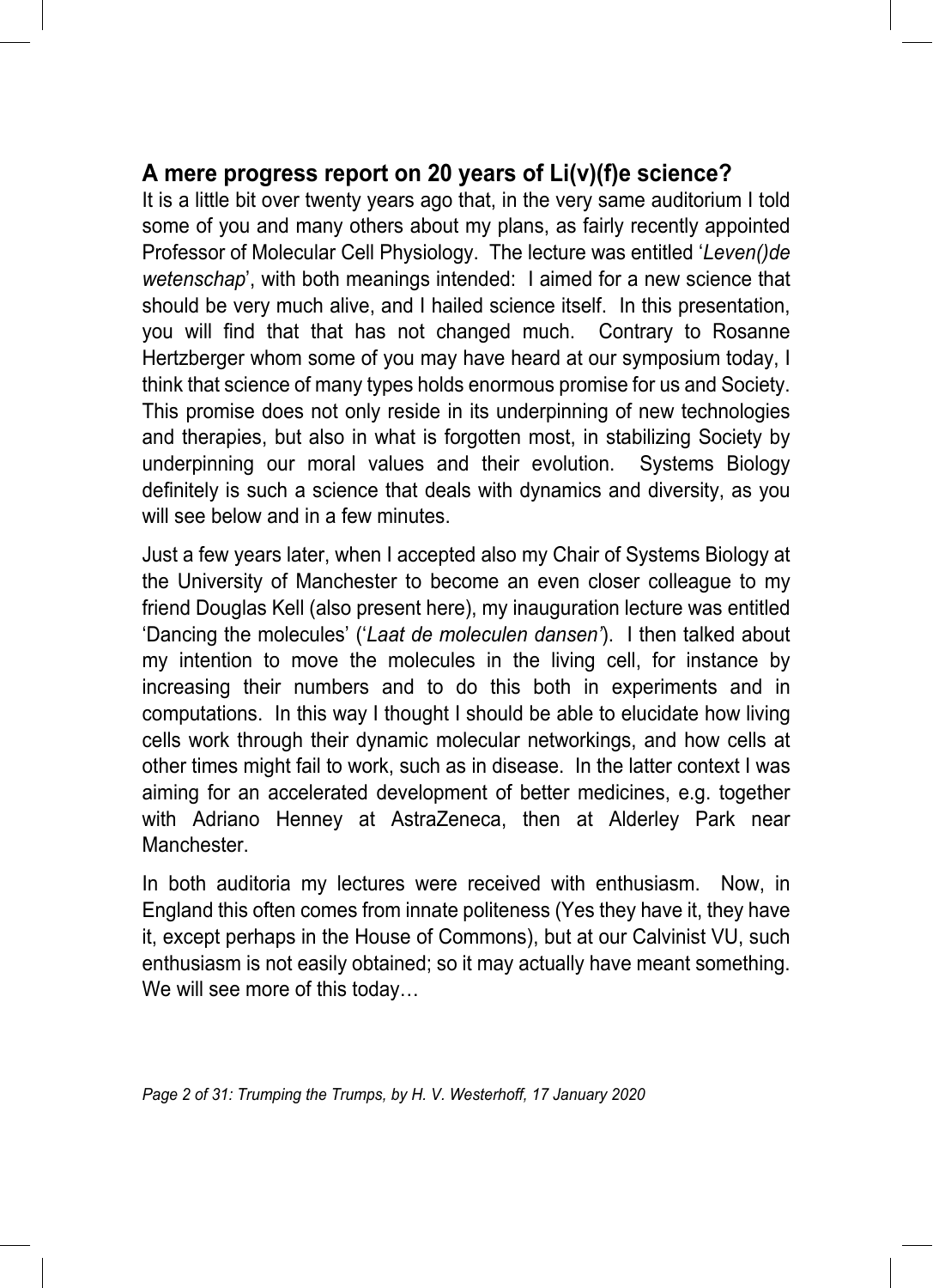#### **A mere progress report on 20 years of Li(v)(f)e science?**

It is a little bit over twenty years ago that, in the very same auditorium I told some of you and many others about my plans, as fairly recently appointed Professor of Molecular Cell Physiology. The lecture was entitled '*Leven()de wetenschap*', with both meanings intended: I aimed for a new science that should be very much alive, and I hailed science itself. In this presentation, you will find that that has not changed much. Contrary to Rosanne Hertzberger whom some of you may have heard at our symposium today, I think that science of many types holds enormous promise for us and Society. This promise does not only reside in its underpinning of new technologies and therapies, but also in what is forgotten most, in stabilizing Society by underpinning our moral values and their evolution. Systems Biology definitely is such a science that deals with dynamics and diversity, as you will see below and in a few minutes.

Just a few years later, when I accepted also my Chair of Systems Biology at the University of Manchester to become an even closer colleague to my friend Douglas Kell (also present here), my inauguration lecture was entitled 'Dancing the molecules' ('*Laat de moleculen dansen'*). I then talked about my intention to move the molecules in the living cell, for instance by increasing their numbers and to do this both in experiments and in computations. In this way I thought I should be able to elucidate how living cells work through their dynamic molecular networkings, and how cells at other times might fail to work, such as in disease. In the latter context I was aiming for an accelerated development of better medicines, e.g. together with Adriano Henney at AstraZeneca, then at Alderley Park near Manchester.

In both auditoria my lectures were received with enthusiasm. Now, in England this often comes from innate politeness (Yes they have it, they have it, except perhaps in the House of Commons), but at our Calvinist VU, such enthusiasm is not easily obtained; so it may actually have meant something. We will see more of this today…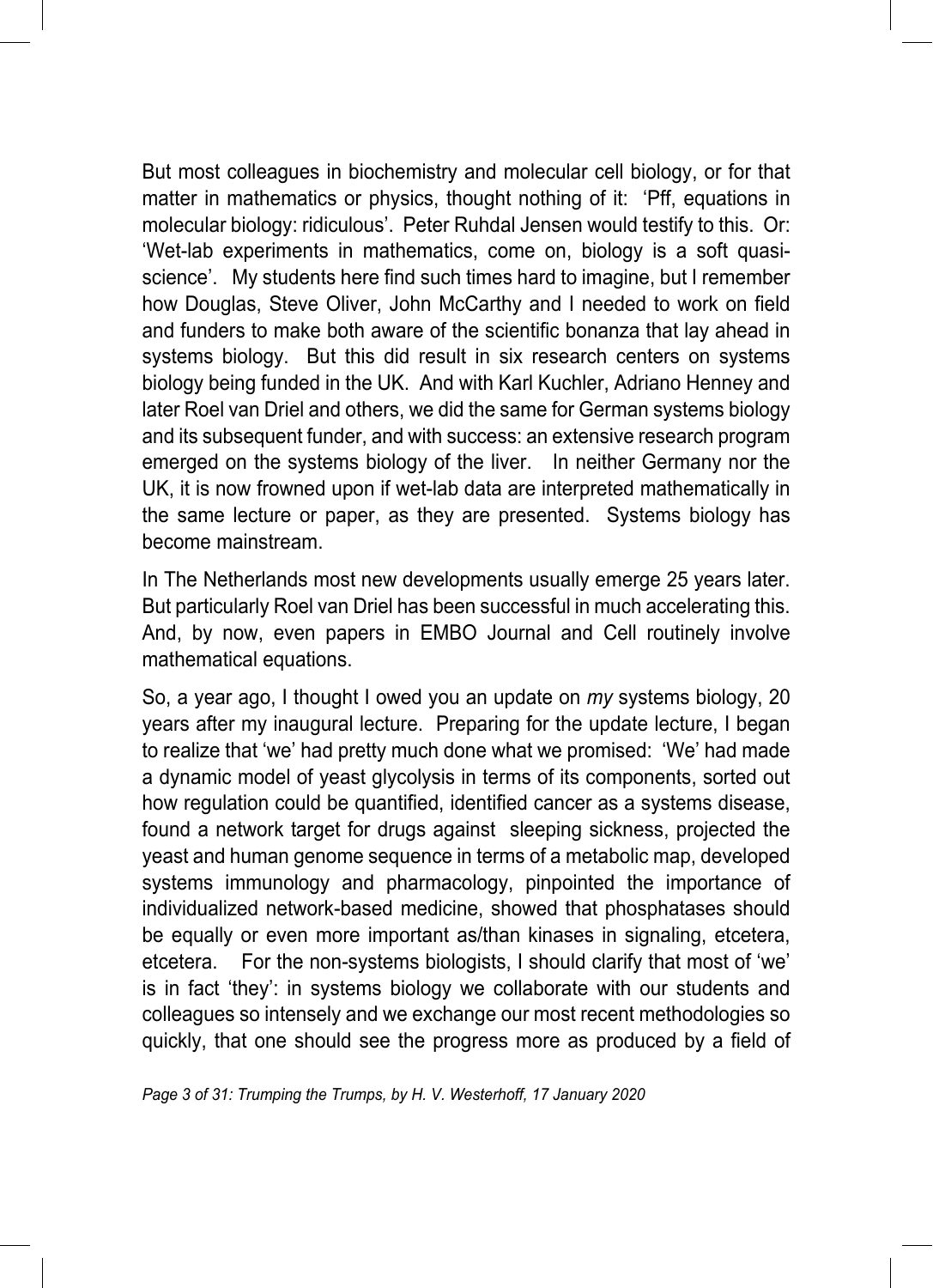But most colleagues in biochemistry and molecular cell biology, or for that matter in mathematics or physics, thought nothing of it: 'Pff, equations in molecular biology: ridiculous'. Peter Ruhdal Jensen would testify to this. Or: 'Wet-lab experiments in mathematics, come on, biology is a soft quasiscience'. My students here find such times hard to imagine, but I remember how Douglas, Steve Oliver, John McCarthy and I needed to work on field and funders to make both aware of the scientific bonanza that lay ahead in systems biology. But this did result in six research centers on systems biology being funded in the UK. And with Karl Kuchler, Adriano Henney and later Roel van Driel and others, we did the same for German systems biology and its subsequent funder, and with success: an extensive research program emerged on the systems biology of the liver. In neither Germany nor the UK, it is now frowned upon if wet-lab data are interpreted mathematically in the same lecture or paper, as they are presented. Systems biology has become mainstream.

In The Netherlands most new developments usually emerge 25 years later. But particularly Roel van Driel has been successful in much accelerating this. And, by now, even papers in EMBO Journal and Cell routinely involve mathematical equations.

So, a year ago, I thought I owed you an update on *my* systems biology, 20 years after my inaugural lecture. Preparing for the update lecture, I began to realize that 'we' had pretty much done what we promised: 'We' had made a dynamic model of yeast glycolysis in terms of its components, sorted out how regulation could be quantified, identified cancer as a systems disease, found a network target for drugs against sleeping sickness, projected the yeast and human genome sequence in terms of a metabolic map, developed systems immunology and pharmacology, pinpointed the importance of individualized network-based medicine, showed that phosphatases should be equally or even more important as/than kinases in signaling, etcetera, etcetera. For the non-systems biologists, I should clarify that most of 'we' is in fact 'they': in systems biology we collaborate with our students and colleagues so intensely and we exchange our most recent methodologies so quickly, that one should see the progress more as produced by a field of

*Page 3 of 31: Trumping the Trumps, by H. V. Westerhoff, 17 January 2020*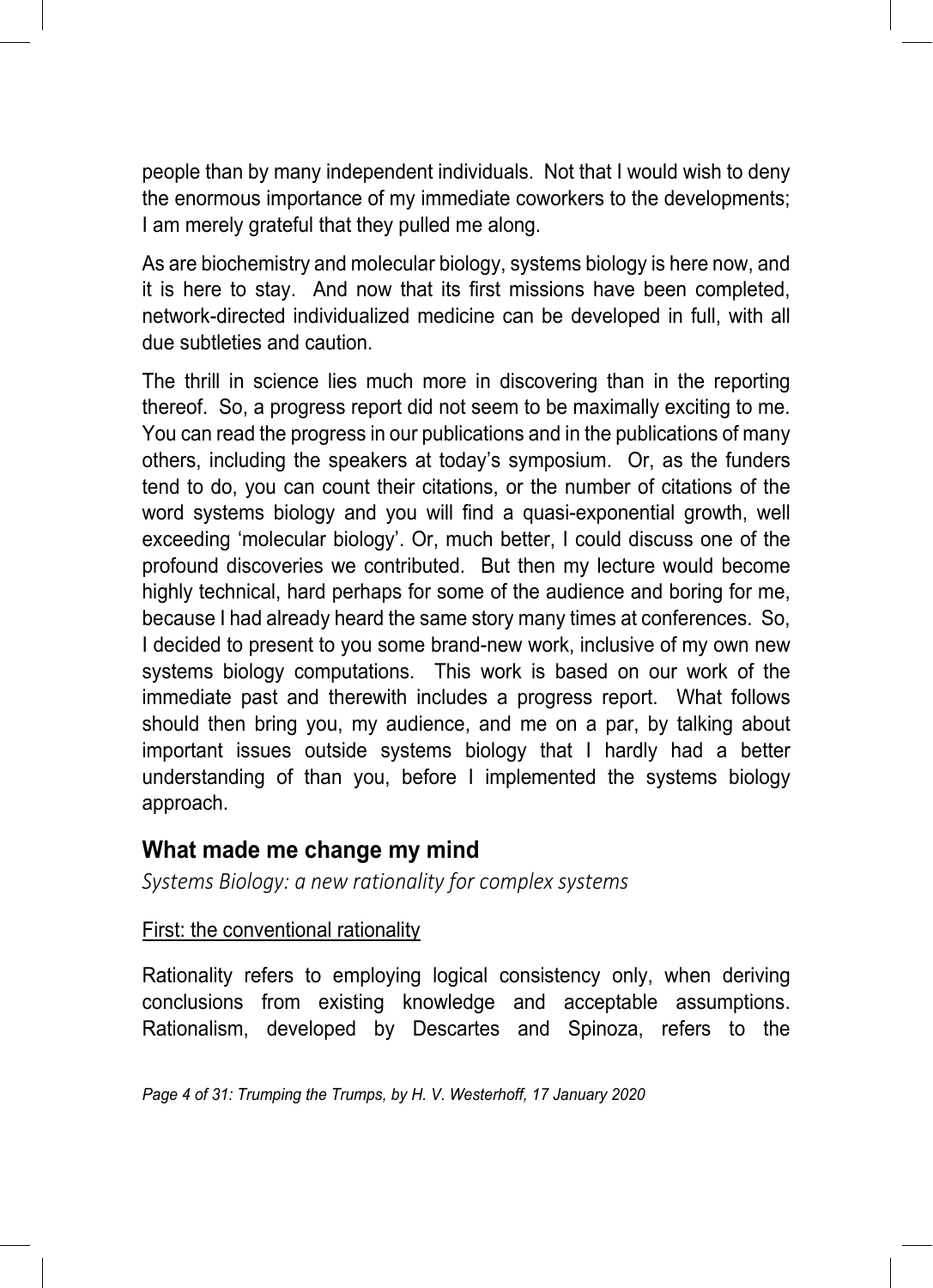people than by many independent individuals. Not that I would wish to deny the enormous importance of my immediate coworkers to the developments; I am merely grateful that they pulled me along.

As are biochemistry and molecular biology, systems biology is here now, and it is here to stay. And now that its first missions have been completed, network-directed individualized medicine can be developed in full, with all due subtleties and caution.

The thrill in science lies much more in discovering than in the reporting thereof. So, a progress report did not seem to be maximally exciting to me. You can read the progress in our publications and in the publications of many others, including the speakers at today's symposium. Or, as the funders tend to do, you can count their citations, or the number of citations of the word systems biology and you will find a quasi-exponential growth, well exceeding 'molecular biology'. Or, much better, I could discuss one of the profound discoveries we contributed. But then my lecture would become highly technical, hard perhaps for some of the audience and boring for me, because I had already heard the same story many times at conferences. So, I decided to present to you some brand-new work, inclusive of my own new systems biology computations. This work is based on our work of the immediate past and therewith includes a progress report. What follows should then bring you, my audience, and me on a par, by talking about important issues outside systems biology that I hardly had a better understanding of than you, before I implemented the systems biology approach.

#### **What made me change my mind**

*Systems Biology: a new rationality for complex systems*

#### First: the conventional rationality

Rationality refers to employing logical consistency only, when deriving conclusions from existing knowledge and acceptable assumptions. Rationalism, developed by Descartes and Spinoza, refers to the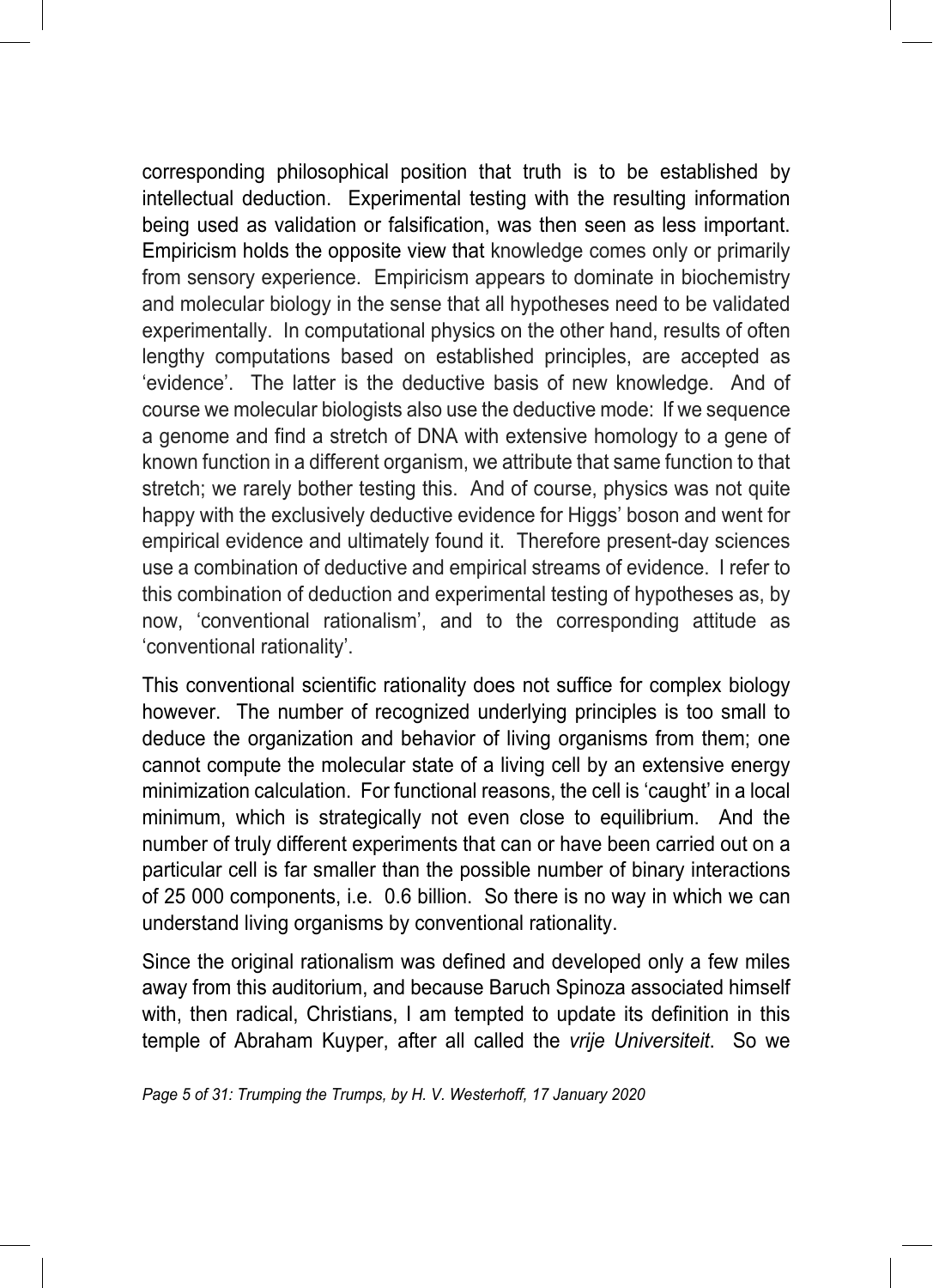corresponding philosophical position that truth is to be established by intellectual deduction. Experimental testing with the resulting information being used as validation or falsification, was then seen as less important. Empiricism holds the opposite view that knowledge comes only or primarily from sensory experience. Empiricism appears to dominate in biochemistry and molecular biology in the sense that all hypotheses need to be validated experimentally. In computational physics on the other hand, results of often lengthy computations based on established principles, are accepted as 'evidence'. The latter is the deductive basis of new knowledge. And of course we molecular biologists also use the deductive mode: If we sequence a genome and find a stretch of DNA with extensive homology to a gene of known function in a different organism, we attribute that same function to that stretch; we rarely bother testing this. And of course, physics was not quite happy with the exclusively deductive evidence for Higgs' boson and went for empirical evidence and ultimately found it. Therefore present-day sciences use a combination of deductive and empirical streams of evidence. I refer to this combination of deduction and experimental testing of hypotheses as, by now, 'conventional rationalism', and to the corresponding attitude as 'conventional rationality'.

This conventional scientific rationality does not suffice for complex biology however. The number of recognized underlying principles is too small to deduce the organization and behavior of living organisms from them; one cannot compute the molecular state of a living cell by an extensive energy minimization calculation. For functional reasons, the cell is 'caught' in a local minimum, which is strategically not even close to equilibrium. And the number of truly different experiments that can or have been carried out on a particular cell is far smaller than the possible number of binary interactions of 25 000 components, i.e. 0.6 billion. So there is no way in which we can understand living organisms by conventional rationality.

Since the original rationalism was defined and developed only a few miles away from this auditorium, and because Baruch Spinoza associated himself with, then radical, Christians, I am tempted to update its definition in this temple of Abraham Kuyper, after all called the *vrije Universiteit*. So we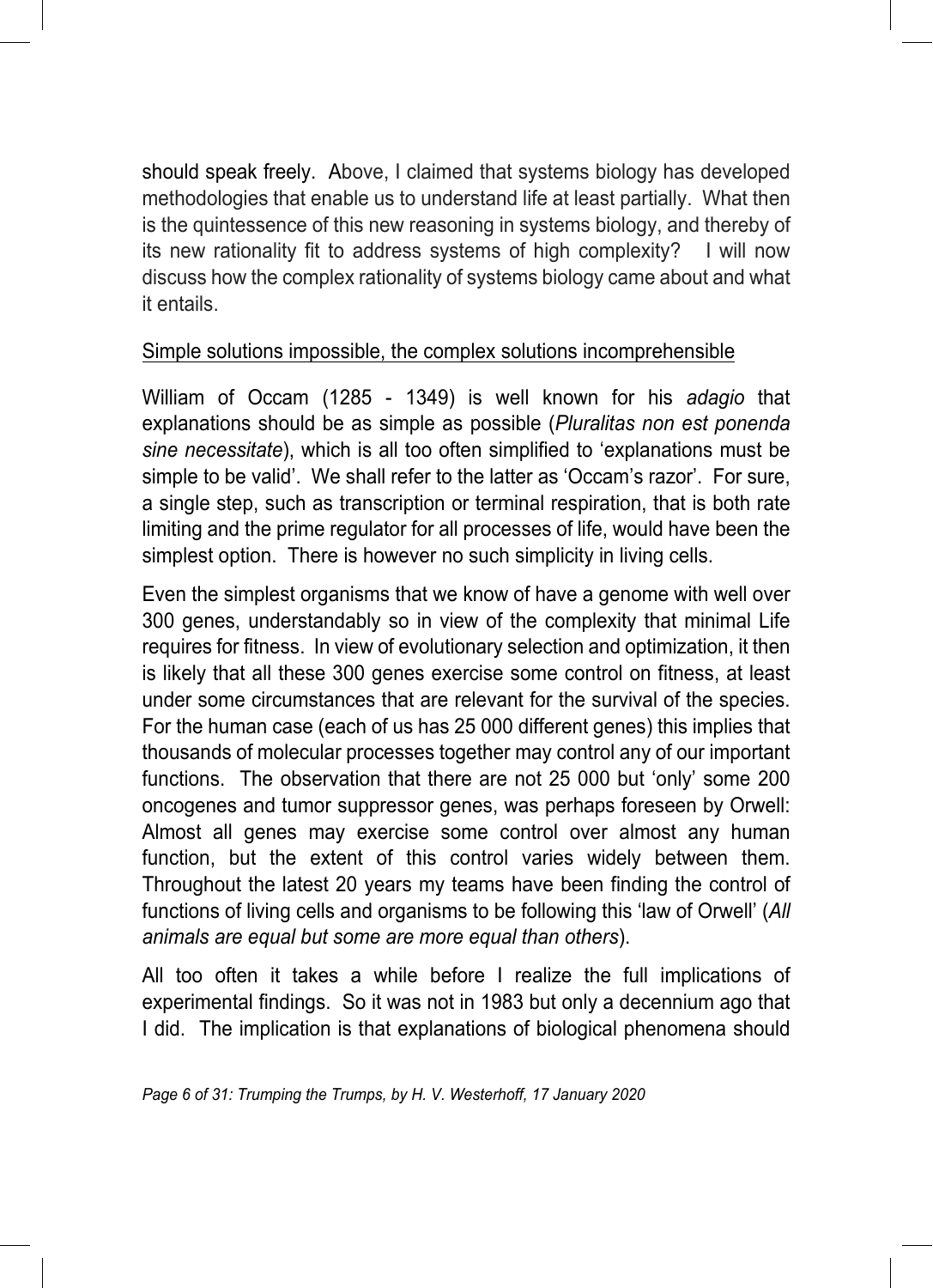should speak freely. Above, I claimed that systems biology has developed methodologies that enable us to understand life at least partially. What then is the quintessence of this new reasoning in systems biology, and thereby of its new rationality fit to address systems of high complexity? I will now discuss how the complex rationality of systems biology came about and what it entails.

#### Simple solutions impossible, the complex solutions incomprehensible

William of Occam (1285 - 1349) is well known for his *adagio* that explanations should be as simple as possible (*Pluralitas non est ponenda sine necessitate*), which is all too often simplified to 'explanations must be simple to be valid'. We shall refer to the latter as 'Occam's razor'. For sure, a single step, such as transcription or terminal respiration, that is both rate limiting and the prime regulator for all processes of life, would have been the simplest option. There is however no such simplicity in living cells.

Even the simplest organisms that we know of have a genome with well over 300 genes, understandably so in view of the complexity that minimal Life requires for fitness. In view of evolutionary selection and optimization, it then is likely that all these 300 genes exercise some control on fitness, at least under some circumstances that are relevant for the survival of the species. For the human case (each of us has 25 000 different genes) this implies that thousands of molecular processes together may control any of our important functions. The observation that there are not 25 000 but 'only' some 200 oncogenes and tumor suppressor genes, was perhaps foreseen by Orwell: Almost all genes may exercise some control over almost any human function, but the extent of this control varies widely between them. Throughout the latest 20 years my teams have been finding the control of functions of living cells and organisms to be following this 'law of Orwell' (*All animals are equal but some are more equal than others*).

All too often it takes a while before I realize the full implications of experimental findings. So it was not in 1983 but only a decennium ago that I did. The implication is that explanations of biological phenomena should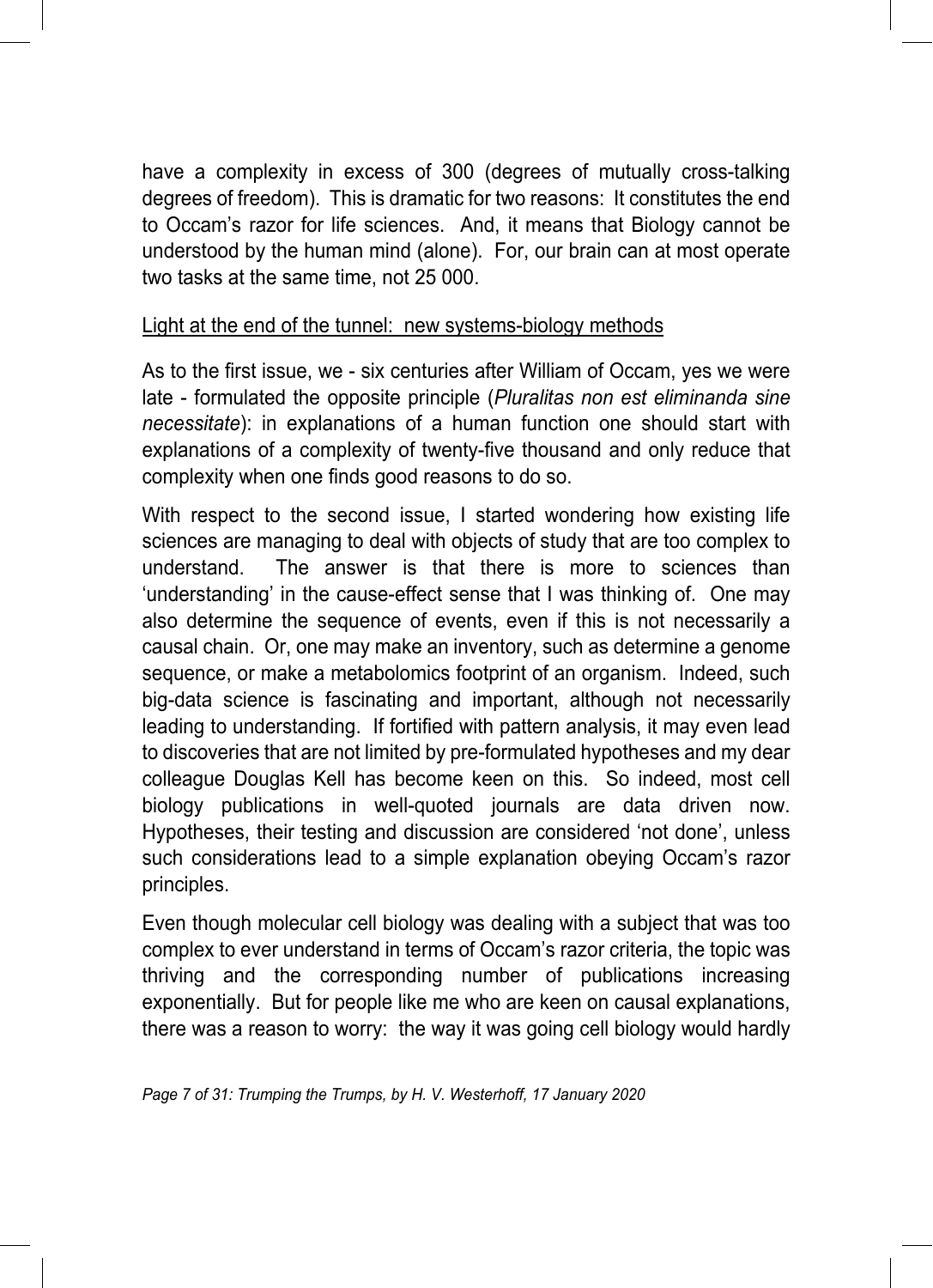have a complexity in excess of 300 (degrees of mutually cross-talking degrees of freedom). This is dramatic for two reasons: It constitutes the end to Occam's razor for life sciences. And, it means that Biology cannot be understood by the human mind (alone). For, our brain can at most operate two tasks at the same time, not 25 000.

#### Light at the end of the tunnel: new systems-biology methods

As to the first issue, we - six centuries after William of Occam, yes we were late - formulated the opposite principle (*Pluralitas non est eliminanda sine necessitate*): in explanations of a human function one should start with explanations of a complexity of twenty-five thousand and only reduce that complexity when one finds good reasons to do so.

With respect to the second issue, I started wondering how existing life sciences are managing to deal with objects of study that are too complex to understand. The answer is that there is more to sciences than 'understanding' in the cause-effect sense that I was thinking of. One may also determine the sequence of events, even if this is not necessarily a causal chain. Or, one may make an inventory, such as determine a genome sequence, or make a metabolomics footprint of an organism. Indeed, such big-data science is fascinating and important, although not necessarily leading to understanding. If fortified with pattern analysis, it may even lead to discoveries that are not limited by pre-formulated hypotheses and my dear colleague Douglas Kell has become keen on this. So indeed, most cell biology publications in well-quoted journals are data driven now. Hypotheses, their testing and discussion are considered 'not done', unless such considerations lead to a simple explanation obeying Occam's razor principles.

Even though molecular cell biology was dealing with a subject that was too complex to ever understand in terms of Occam's razor criteria, the topic was thriving and the corresponding number of publications increasing exponentially. But for people like me who are keen on causal explanations, there was a reason to worry: the way it was going cell biology would hardly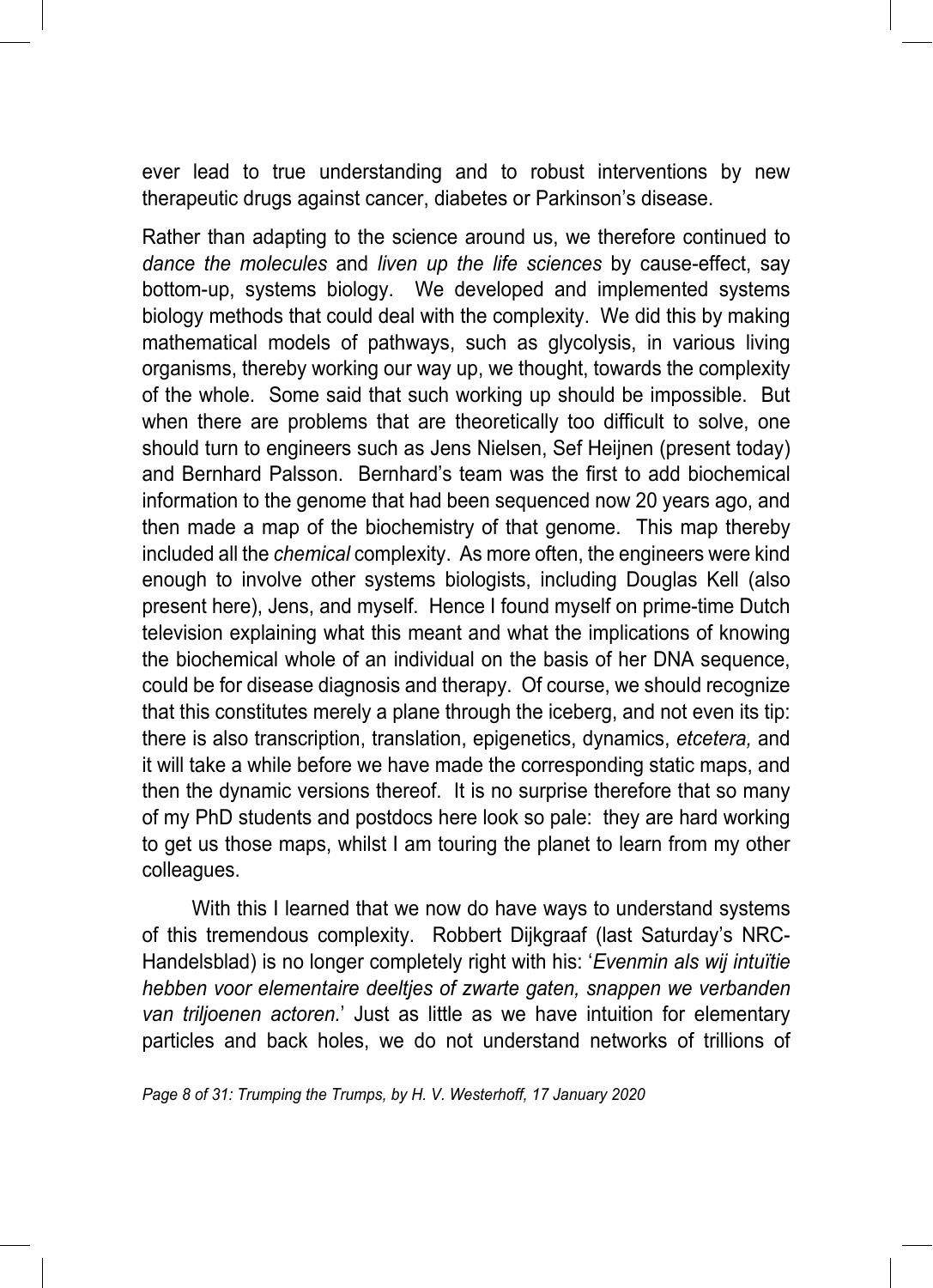ever lead to true understanding and to robust interventions by new therapeutic drugs against cancer, diabetes or Parkinson's disease.

Rather than adapting to the science around us, we therefore continued to *dance the molecules* and *liven up the life sciences* by cause-effect, say bottom-up, systems biology. We developed and implemented systems biology methods that could deal with the complexity. We did this by making mathematical models of pathways, such as glycolysis, in various living organisms, thereby working our way up, we thought, towards the complexity of the whole. Some said that such working up should be impossible. But when there are problems that are theoretically too difficult to solve, one should turn to engineers such as Jens Nielsen, Sef Heijnen (present today) and Bernhard Palsson. Bernhard's team was the first to add biochemical information to the genome that had been sequenced now 20 years ago, and then made a map of the biochemistry of that genome. This map thereby included all the *chemical* complexity. As more often, the engineers were kind enough to involve other systems biologists, including Douglas Kell (also present here), Jens, and myself. Hence I found myself on prime-time Dutch television explaining what this meant and what the implications of knowing the biochemical whole of an individual on the basis of her DNA sequence, could be for disease diagnosis and therapy. Of course, we should recognize that this constitutes merely a plane through the iceberg, and not even its tip: there is also transcription, translation, epigenetics, dynamics, *etcetera,* and it will take a while before we have made the corresponding static maps, and then the dynamic versions thereof. It is no surprise therefore that so many of my PhD students and postdocs here look so pale: they are hard working to get us those maps, whilst I am touring the planet to learn from my other colleagues.

With this I learned that we now do have ways to understand systems of this tremendous complexity. Robbert Dijkgraaf (last Saturday's NRC-Handelsblad) is no longer completely right with his: '*Evenmin als wij intuïtie hebben voor elementaire deeltjes of zwarte gaten, snappen we verbanden van triljoenen actoren.*' Just as little as we have intuition for elementary particles and back holes, we do not understand networks of trillions of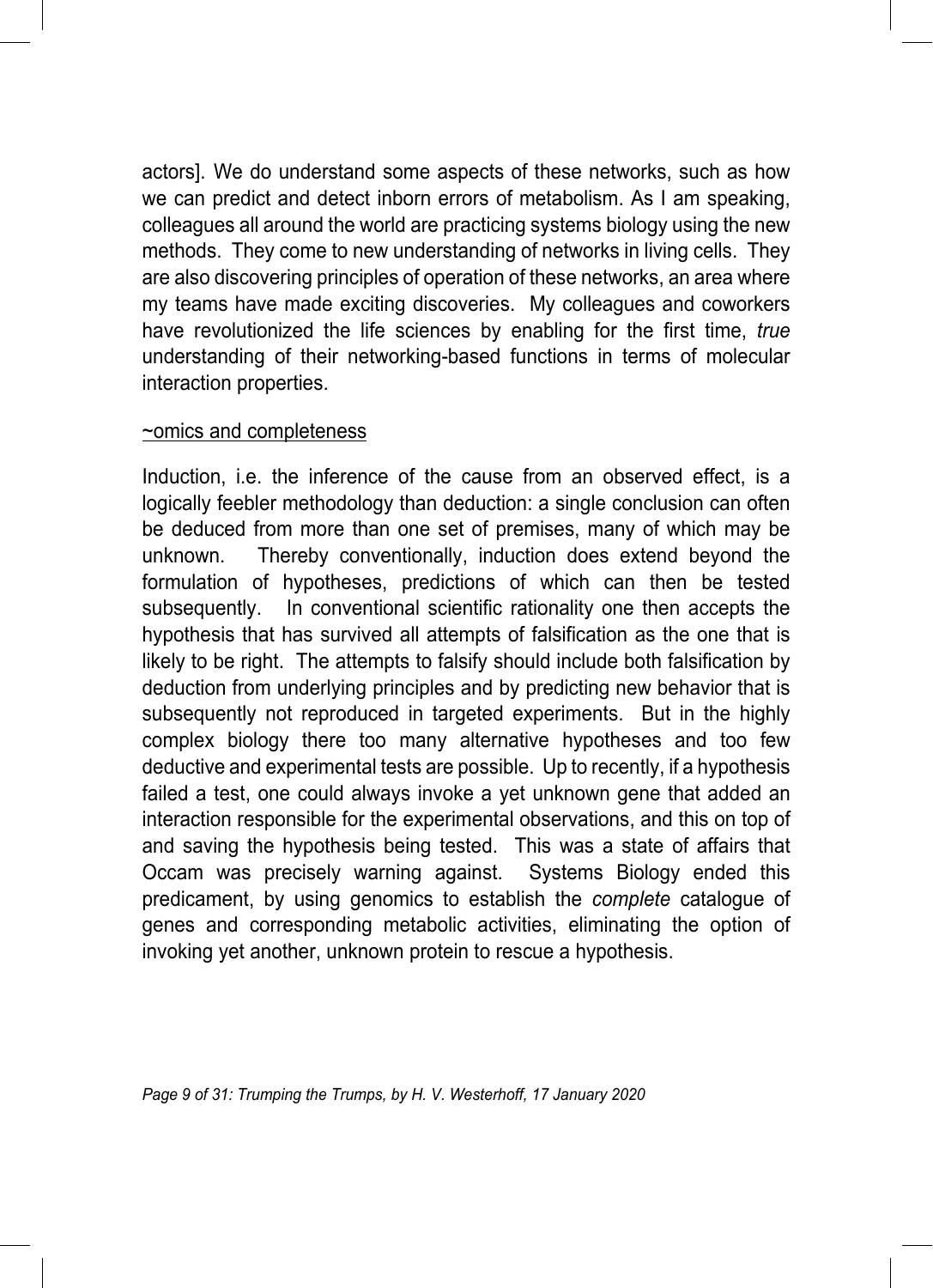actors]. We do understand some aspects of these networks, such as how we can predict and detect inborn errors of metabolism. As I am speaking, colleagues all around the world are practicing systems biology using the new methods. They come to new understanding of networks in living cells. They are also discovering principles of operation of these networks, an area where my teams have made exciting discoveries. My colleagues and coworkers have revolutionized the life sciences by enabling for the first time, *true* understanding of their networking-based functions in terms of molecular interaction properties.

#### ~omics and completeness

Induction, i.e. the inference of the cause from an observed effect, is a logically feebler methodology than deduction: a single conclusion can often be deduced from more than one set of premises, many of which may be unknown. Thereby conventionally, induction does extend beyond the formulation of hypotheses, predictions of which can then be tested subsequently. In conventional scientific rationality one then accepts the hypothesis that has survived all attempts of falsification as the one that is likely to be right. The attempts to falsify should include both falsification by deduction from underlying principles and by predicting new behavior that is subsequently not reproduced in targeted experiments. But in the highly complex biology there too many alternative hypotheses and too few deductive and experimental tests are possible. Up to recently, if a hypothesis failed a test, one could always invoke a yet unknown gene that added an interaction responsible for the experimental observations, and this on top of and saving the hypothesis being tested. This was a state of affairs that Occam was precisely warning against. Systems Biology ended this predicament, by using genomics to establish the *complete* catalogue of genes and corresponding metabolic activities, eliminating the option of invoking yet another, unknown protein to rescue a hypothesis.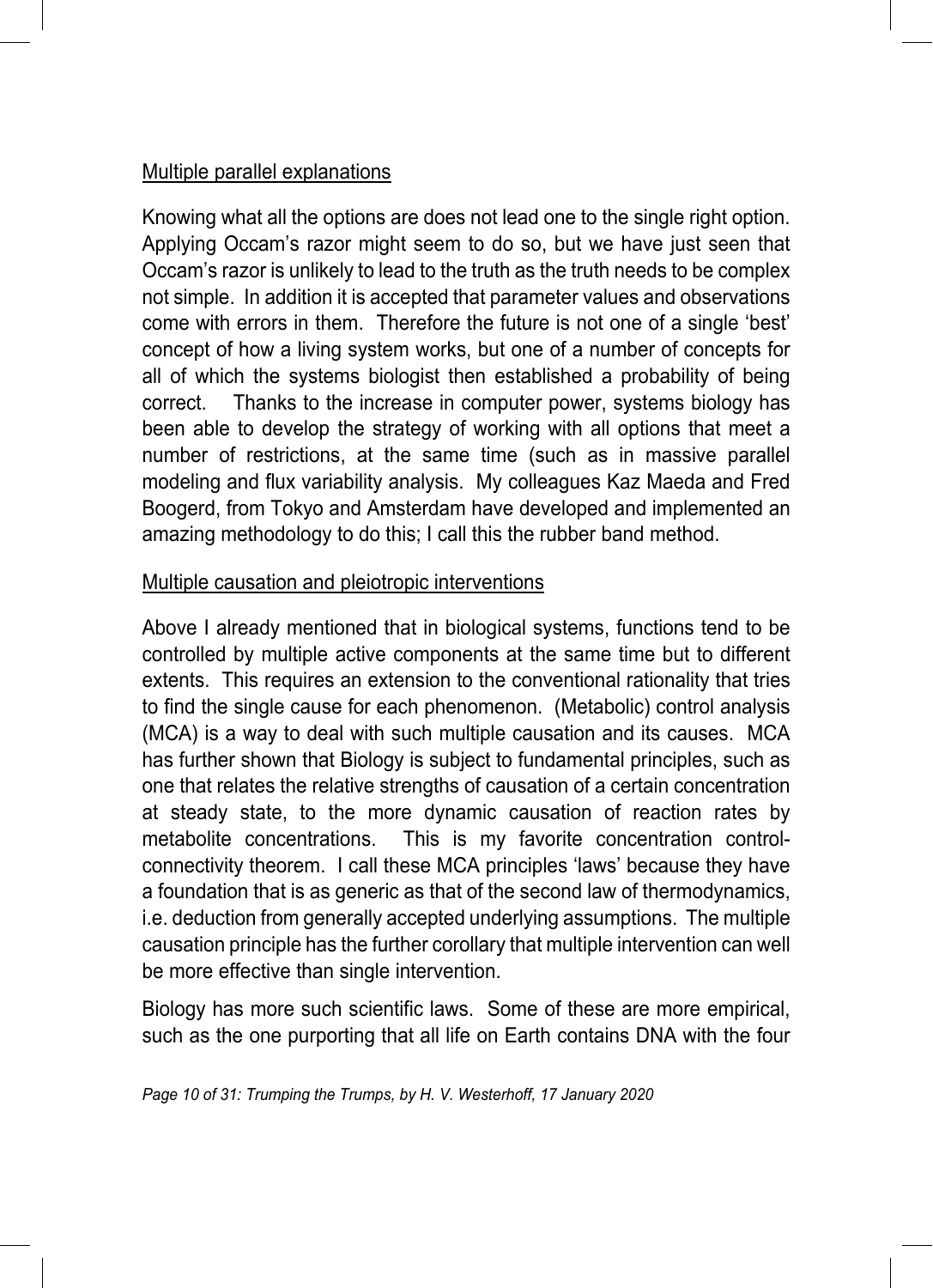#### Multiple parallel explanations

Knowing what all the options are does not lead one to the single right option. Applying Occam's razor might seem to do so, but we have just seen that Occam's razor is unlikely to lead to the truth as the truth needs to be complex not simple. In addition it is accepted that parameter values and observations come with errors in them. Therefore the future is not one of a single 'best' concept of how a living system works, but one of a number of concepts for all of which the systems biologist then established a probability of being correct. Thanks to the increase in computer power, systems biology has been able to develop the strategy of working with all options that meet a number of restrictions, at the same time (such as in massive parallel modeling and flux variability analysis. My colleagues Kaz Maeda and Fred Boogerd, from Tokyo and Amsterdam have developed and implemented an amazing methodology to do this; I call this the rubber band method.

#### Multiple causation and pleiotropic interventions

Above I already mentioned that in biological systems, functions tend to be controlled by multiple active components at the same time but to different extents. This requires an extension to the conventional rationality that tries to find the single cause for each phenomenon. (Metabolic) control analysis (MCA) is a way to deal with such multiple causation and its causes. MCA has further shown that Biology is subject to fundamental principles, such as one that relates the relative strengths of causation of a certain concentration at steady state, to the more dynamic causation of reaction rates by metabolite concentrations. This is my favorite concentration controlconnectivity theorem. I call these MCA principles 'laws' because they have a foundation that is as generic as that of the second law of thermodynamics, i.e. deduction from generally accepted underlying assumptions. The multiple causation principle has the further corollary that multiple intervention can well be more effective than single intervention.

Biology has more such scientific laws. Some of these are more empirical, such as the one purporting that all life on Earth contains DNA with the four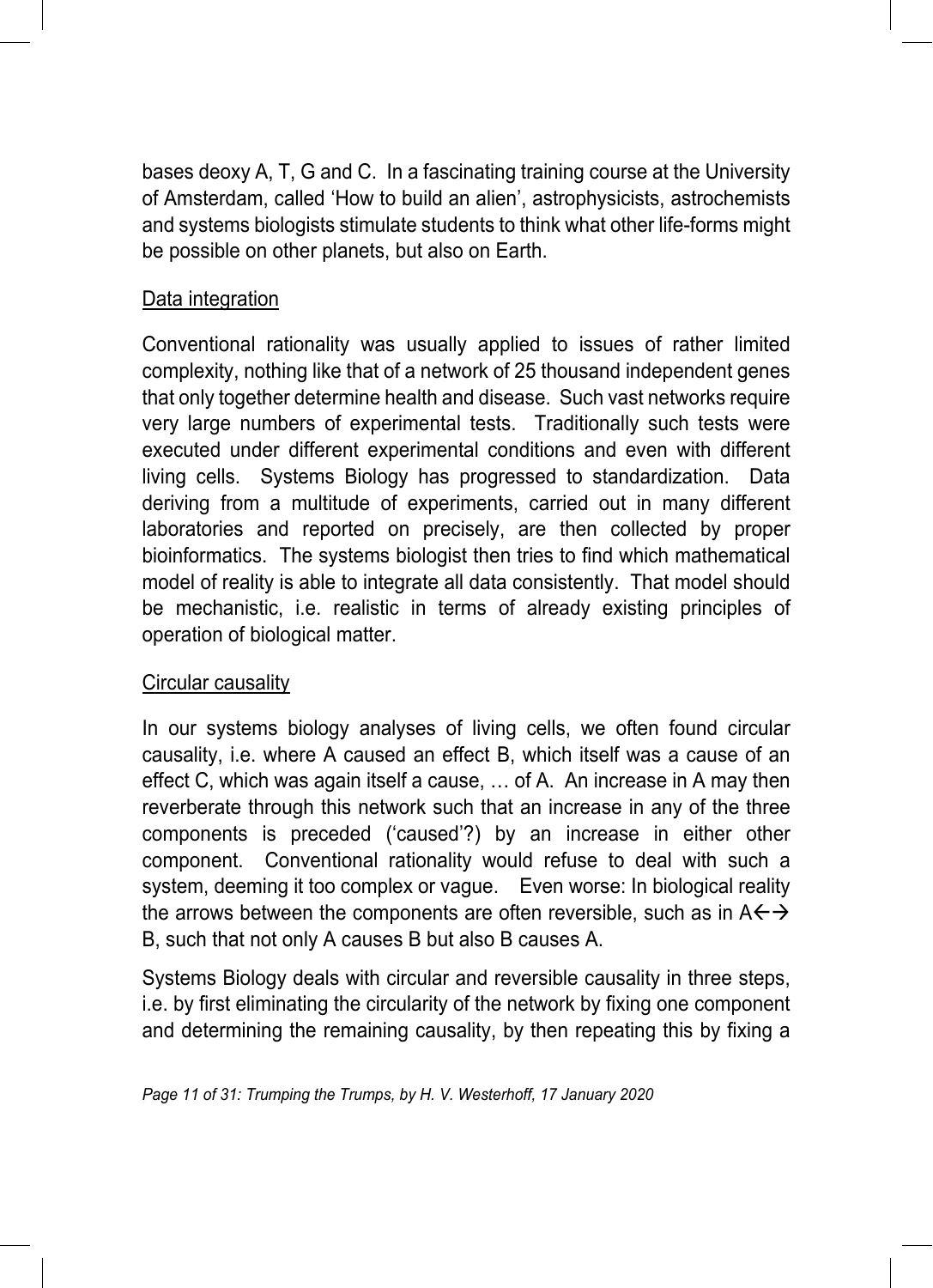bases deoxy A, T, G and C. In a fascinating training course at the University of Amsterdam, called 'How to build an alien', astrophysicists, astrochemists and systems biologists stimulate students to think what other life-forms might be possible on other planets, but also on Earth.

#### Data integration

Conventional rationality was usually applied to issues of rather limited complexity, nothing like that of a network of 25 thousand independent genes that only together determine health and disease. Such vast networks require very large numbers of experimental tests. Traditionally such tests were executed under different experimental conditions and even with different living cells. Systems Biology has progressed to standardization. Data deriving from a multitude of experiments, carried out in many different laboratories and reported on precisely, are then collected by proper bioinformatics. The systems biologist then tries to find which mathematical model of reality is able to integrate all data consistently. That model should be mechanistic, i.e. realistic in terms of already existing principles of operation of biological matter.

#### Circular causality

In our systems biology analyses of living cells, we often found circular causality, i.e. where A caused an effect B, which itself was a cause of an effect C, which was again itself a cause, … of A. An increase in A may then reverberate through this network such that an increase in any of the three components is preceded ('caused'?) by an increase in either other component. Conventional rationality would refuse to deal with such a system, deeming it too complex or vague. Even worse: In biological reality the arrows between the components are often reversible, such as in  $A \leftrightarrow$ B, such that not only A causes B but also B causes A.

Systems Biology deals with circular and reversible causality in three steps, i.e. by first eliminating the circularity of the network by fixing one component and determining the remaining causality, by then repeating this by fixing a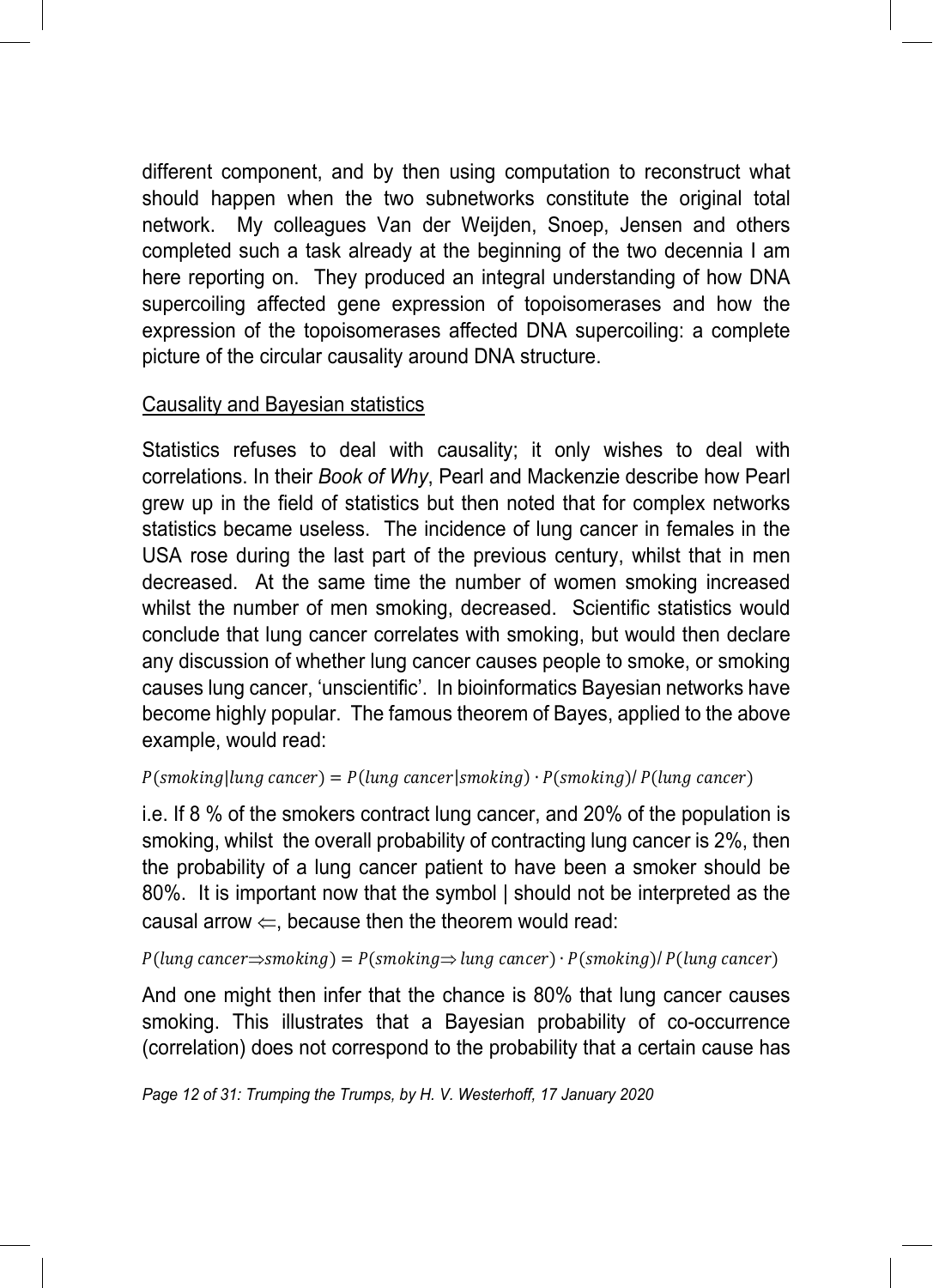different component, and by then using computation to reconstruct what should happen when the two subnetworks constitute the original total network. My colleagues Van der Weijden, Snoep, Jensen and others completed such a task already at the beginning of the two decennia I am here reporting on. They produced an integral understanding of how DNA supercoiling affected gene expression of topoisomerases and how the expression of the topoisomerases affected DNA supercoiling: a complete picture of the circular causality around DNA structure.

#### Causality and Bayesian statistics

Statistics refuses to deal with causality; it only wishes to deal with correlations. In their *Book of Why*, Pearl and Mackenzie describe how Pearl grew up in the field of statistics but then noted that for complex networks statistics became useless. The incidence of lung cancer in females in the USA rose during the last part of the previous century, whilst that in men decreased. At the same time the number of women smoking increased whilst the number of men smoking, decreased. Scientific statistics would conclude that lung cancer correlates with smoking, but would then declare any discussion of whether lung cancer causes people to smoke, or smoking causes lung cancer, 'unscientific'. In bioinformatics Bayesian networks have become highly popular. The famous theorem of Bayes, applied to the above example, would read:

 $P(\text{smoking}|\text{lung cancer}) = P(\text{lung cancer}|\text{smoking}) \cdot P(\text{smoking})/ P(\text{lung cancer})$ 

i.e. If 8 % of the smokers contract lung cancer, and 20% of the population is smoking, whilst the overall probability of contracting lung cancer is 2%, then the probability of a lung cancer patient to have been a smoker should be 80%. It is important now that the symbol | should not be interpreted as the causal arrow  $\Leftarrow$ , because then the theorem would read:

 $P(lung \text{ cancer} \Rightarrow \text{smoking}) = P(\text{smoking} \Rightarrow \text{lung \text{ cancer}}) \cdot P(\text{smoking})/ P(lung \text{ cancer})$ 

And one might then infer that the chance is 80% that lung cancer causes smoking. This illustrates that a Bayesian probability of co-occurrence (correlation) does not correspond to the probability that a certain cause has

*Page 12 of 31: Trumping the Trumps, by H. V. Westerhoff, 17 January 2020*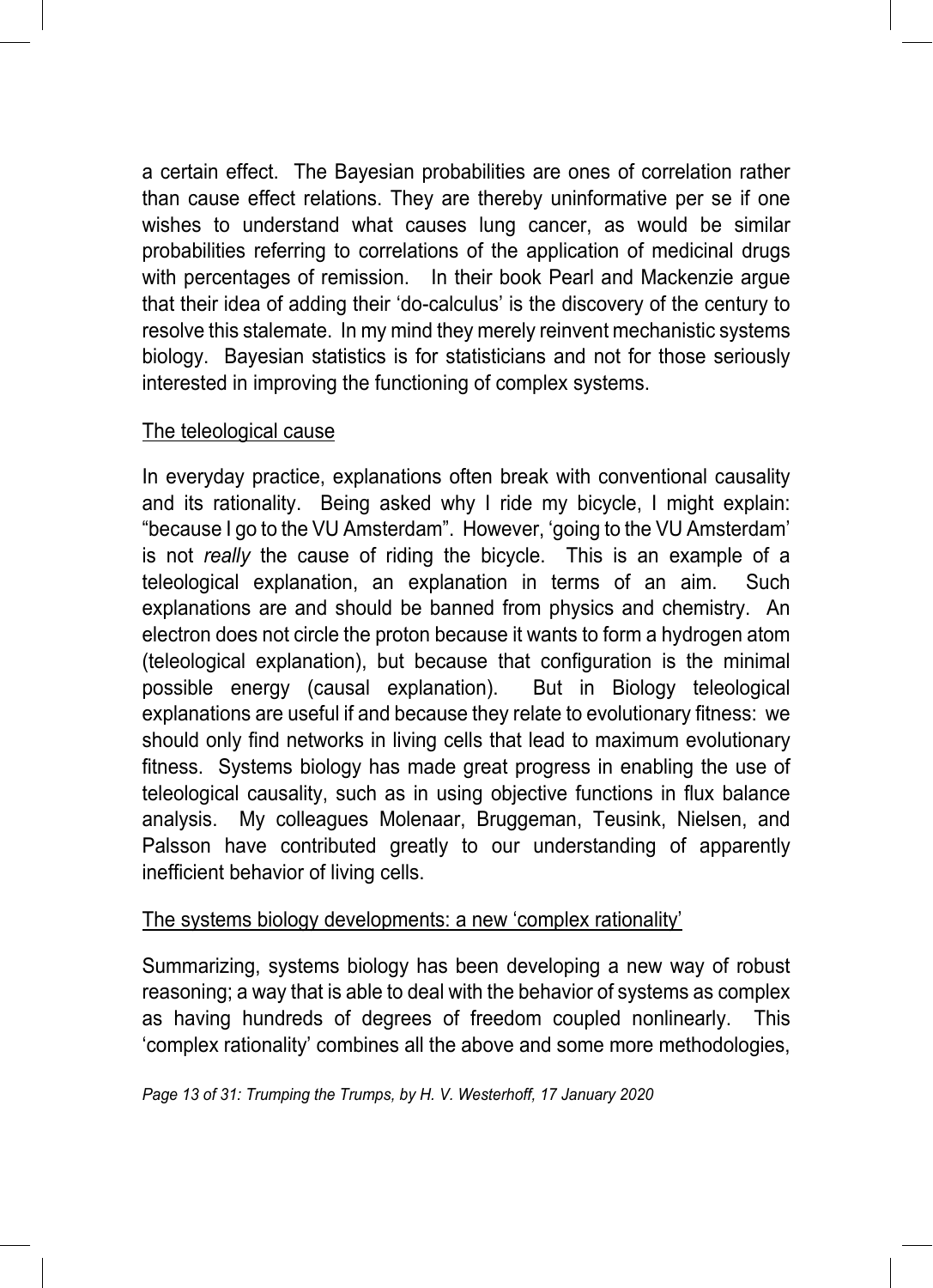a certain effect. The Bayesian probabilities are ones of correlation rather than cause effect relations. They are thereby uninformative per se if one wishes to understand what causes lung cancer, as would be similar probabilities referring to correlations of the application of medicinal drugs with percentages of remission. In their book Pearl and Mackenzie argue that their idea of adding their 'do-calculus' is the discovery of the century to resolve this stalemate. In my mind they merely reinvent mechanistic systems biology. Bayesian statistics is for statisticians and not for those seriously interested in improving the functioning of complex systems.

#### The teleological cause

In everyday practice, explanations often break with conventional causality and its rationality. Being asked why I ride my bicycle, I might explain: "because I go to the VU Amsterdam". However, 'going to the VU Amsterdam' is not *really* the cause of riding the bicycle. This is an example of a teleological explanation, an explanation in terms of an aim. Such explanations are and should be banned from physics and chemistry. An electron does not circle the proton because it wants to form a hydrogen atom (teleological explanation), but because that configuration is the minimal possible energy (causal explanation). But in Biology teleological explanations are useful if and because they relate to evolutionary fitness: we should only find networks in living cells that lead to maximum evolutionary fitness. Systems biology has made great progress in enabling the use of teleological causality, such as in using objective functions in flux balance analysis. My colleagues Molenaar, Bruggeman, Teusink, Nielsen, and Palsson have contributed greatly to our understanding of apparently inefficient behavior of living cells.

#### The systems biology developments: a new 'complex rationality'

Summarizing, systems biology has been developing a new way of robust reasoning; a way that is able to deal with the behavior of systems as complex as having hundreds of degrees of freedom coupled nonlinearly. This 'complex rationality' combines all the above and some more methodologies,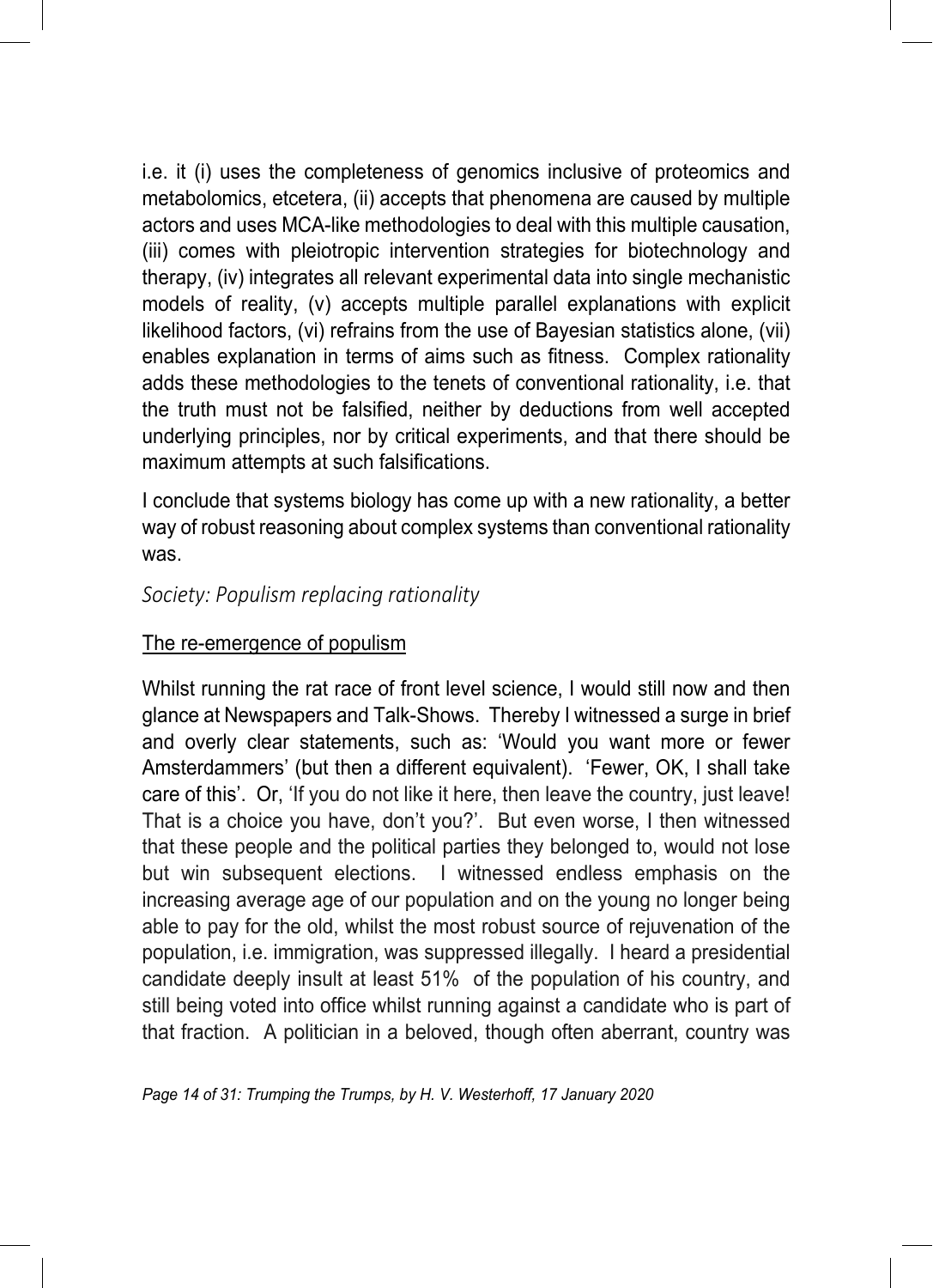i.e. it (i) uses the completeness of genomics inclusive of proteomics and metabolomics, etcetera, (ii) accepts that phenomena are caused by multiple actors and uses MCA-like methodologies to deal with this multiple causation, (iii) comes with pleiotropic intervention strategies for biotechnology and therapy, (iv) integrates all relevant experimental data into single mechanistic models of reality, (v) accepts multiple parallel explanations with explicit likelihood factors, (vi) refrains from the use of Bayesian statistics alone, (vii) enables explanation in terms of aims such as fitness. Complex rationality adds these methodologies to the tenets of conventional rationality, i.e. that the truth must not be falsified, neither by deductions from well accepted underlying principles, nor by critical experiments, and that there should be maximum attempts at such falsifications.

I conclude that systems biology has come up with a new rationality, a better way of robust reasoning about complex systems than conventional rationality was.

#### *Society: Populism replacing rationality*

#### The re-emergence of populism

Whilst running the rat race of front level science, I would still now and then glance at Newspapers and Talk-Shows. Thereby I witnessed a surge in brief and overly clear statements, such as: 'Would you want more or fewer Amsterdammers' (but then a different equivalent). 'Fewer, OK, I shall take care of this'. Or, 'If you do not like it here, then leave the country, just leave! That is a choice you have, don't you?'. But even worse, I then witnessed that these people and the political parties they belonged to, would not lose but win subsequent elections. I witnessed endless emphasis on the increasing average age of our population and on the young no longer being able to pay for the old, whilst the most robust source of rejuvenation of the population, i.e. immigration, was suppressed illegally. I heard a presidential candidate deeply insult at least 51% of the population of his country, and still being voted into office whilst running against a candidate who is part of that fraction. A politician in a beloved, though often aberrant, country was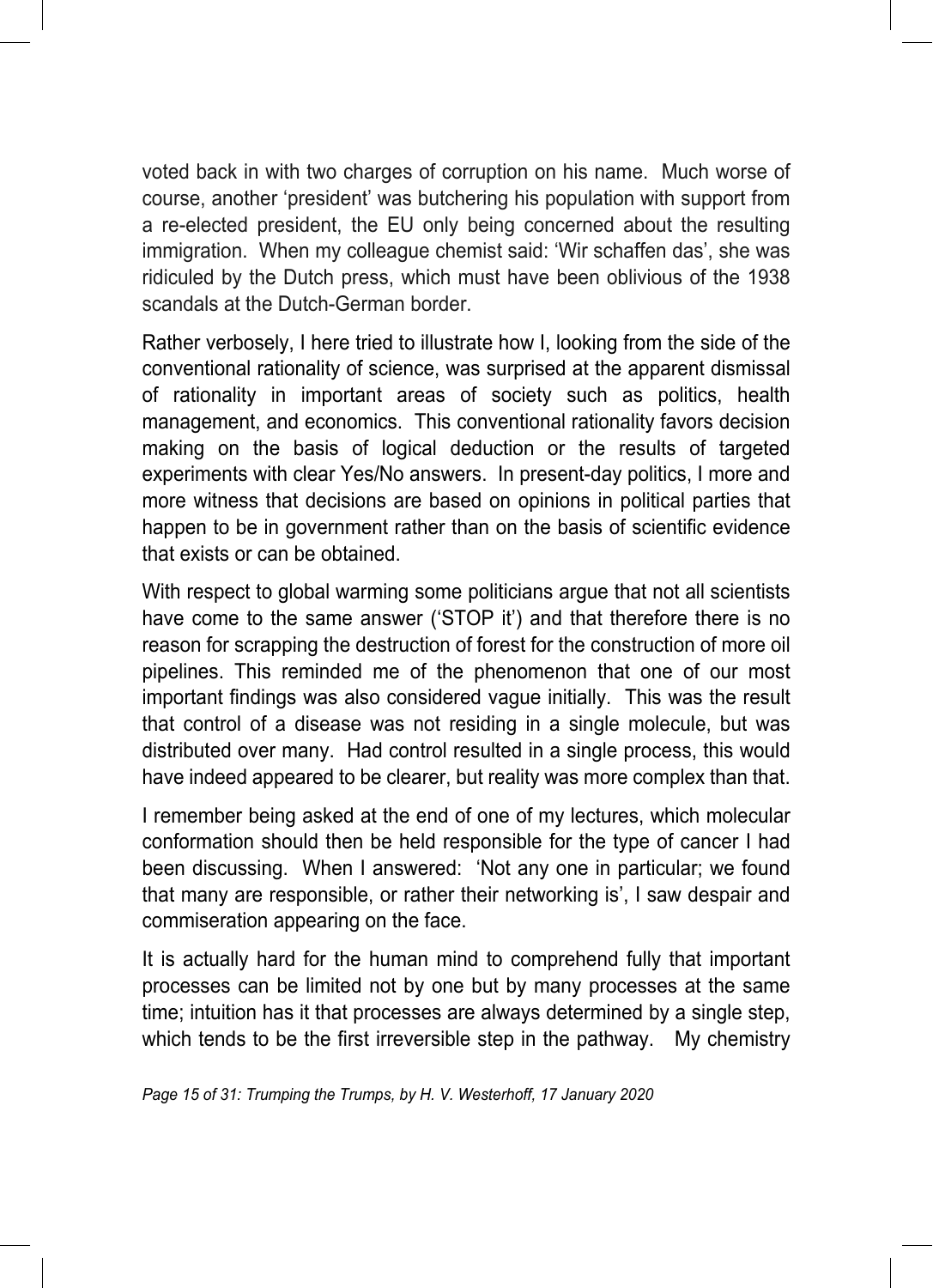voted back in with two charges of corruption on his name. Much worse of course, another 'president' was butchering his population with support from a re-elected president, the EU only being concerned about the resulting immigration. When my colleague chemist said: 'Wir schaffen das', she was ridiculed by the Dutch press, which must have been oblivious of the 1938 scandals at the Dutch-German border.

Rather verbosely, I here tried to illustrate how I, looking from the side of the conventional rationality of science, was surprised at the apparent dismissal of rationality in important areas of society such as politics, health management, and economics. This conventional rationality favors decision making on the basis of logical deduction or the results of targeted experiments with clear Yes/No answers. In present-day politics, I more and more witness that decisions are based on opinions in political parties that happen to be in government rather than on the basis of scientific evidence that exists or can be obtained.

With respect to global warming some politicians argue that not all scientists have come to the same answer ('STOP it') and that therefore there is no reason for scrapping the destruction of forest for the construction of more oil pipelines. This reminded me of the phenomenon that one of our most important findings was also considered vague initially. This was the result that control of a disease was not residing in a single molecule, but was distributed over many. Had control resulted in a single process, this would have indeed appeared to be clearer, but reality was more complex than that.

I remember being asked at the end of one of my lectures, which molecular conformation should then be held responsible for the type of cancer I had been discussing. When I answered: 'Not any one in particular; we found that many are responsible, or rather their networking is', I saw despair and commiseration appearing on the face.

It is actually hard for the human mind to comprehend fully that important processes can be limited not by one but by many processes at the same time; intuition has it that processes are always determined by a single step, which tends to be the first irreversible step in the pathway. My chemistry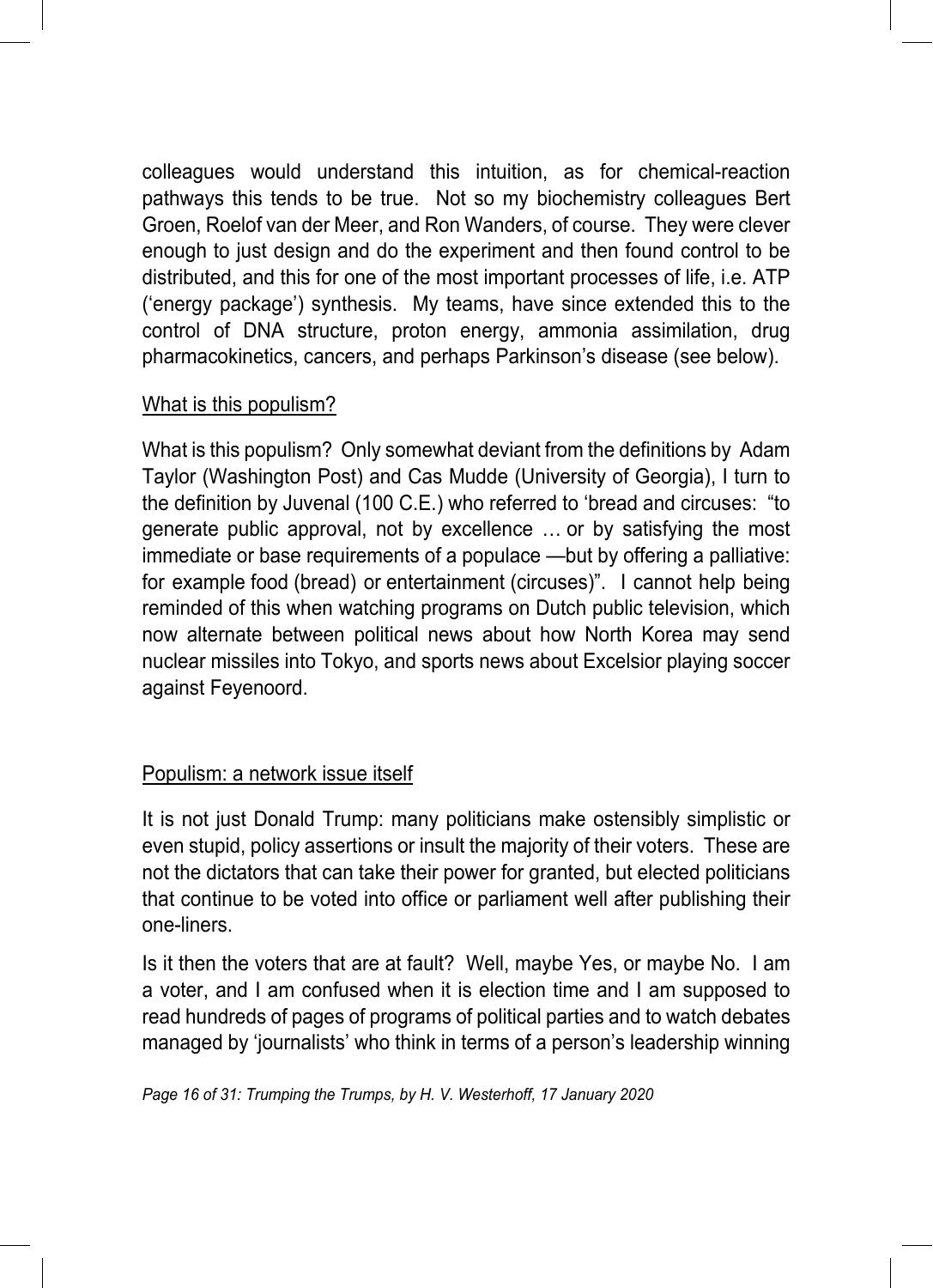colleagues would understand this intuition, as for chemical-reaction pathways this tends to be true. Not so my biochemistry colleagues Bert Groen, Roelof van der Meer, and Ron Wanders, of course. They were clever enough to just design and do the experiment and then found control to be distributed, and this for one of the most important processes of life, i.e. ATP ('energy package') synthesis. My teams, have since extended this to the control of DNA structure, proton energy, ammonia assimilation, drug pharmacokinetics, cancers, and perhaps Parkinson's disease (see below).

#### What is this populism?

What is this populism? Only somewhat deviant from the definitions by Adam Taylor (Washington Post) and Cas Mudde (University of Georgia), I turn to the definition by Juvenal (100 C.E.) who referred to 'bread and circuses: "to generate public approval, not by excellence … or by satisfying the most immediate or base requirements of a populace —but by offering a palliative: for example food (bread) or entertainment (circuses)". I cannot help being reminded of this when watching programs on Dutch public television, which now alternate between political news about how North Korea may send nuclear missiles into Tokyo, and sports news about Excelsior playing soccer against Feyenoord.

#### Populism: a network issue itself

It is not just Donald Trump: many politicians make ostensibly simplistic or even stupid, policy assertions or insult the majority of their voters. These are not the dictators that can take their power for granted, but elected politicians that continue to be voted into office or parliament well after publishing their one-liners.

Is it then the voters that are at fault? Well, maybe Yes, or maybe No. I am a voter, and I am confused when it is election time and I am supposed to read hundreds of pages of programs of political parties and to watch debates managed by 'journalists' who think in terms of a person's leadership winning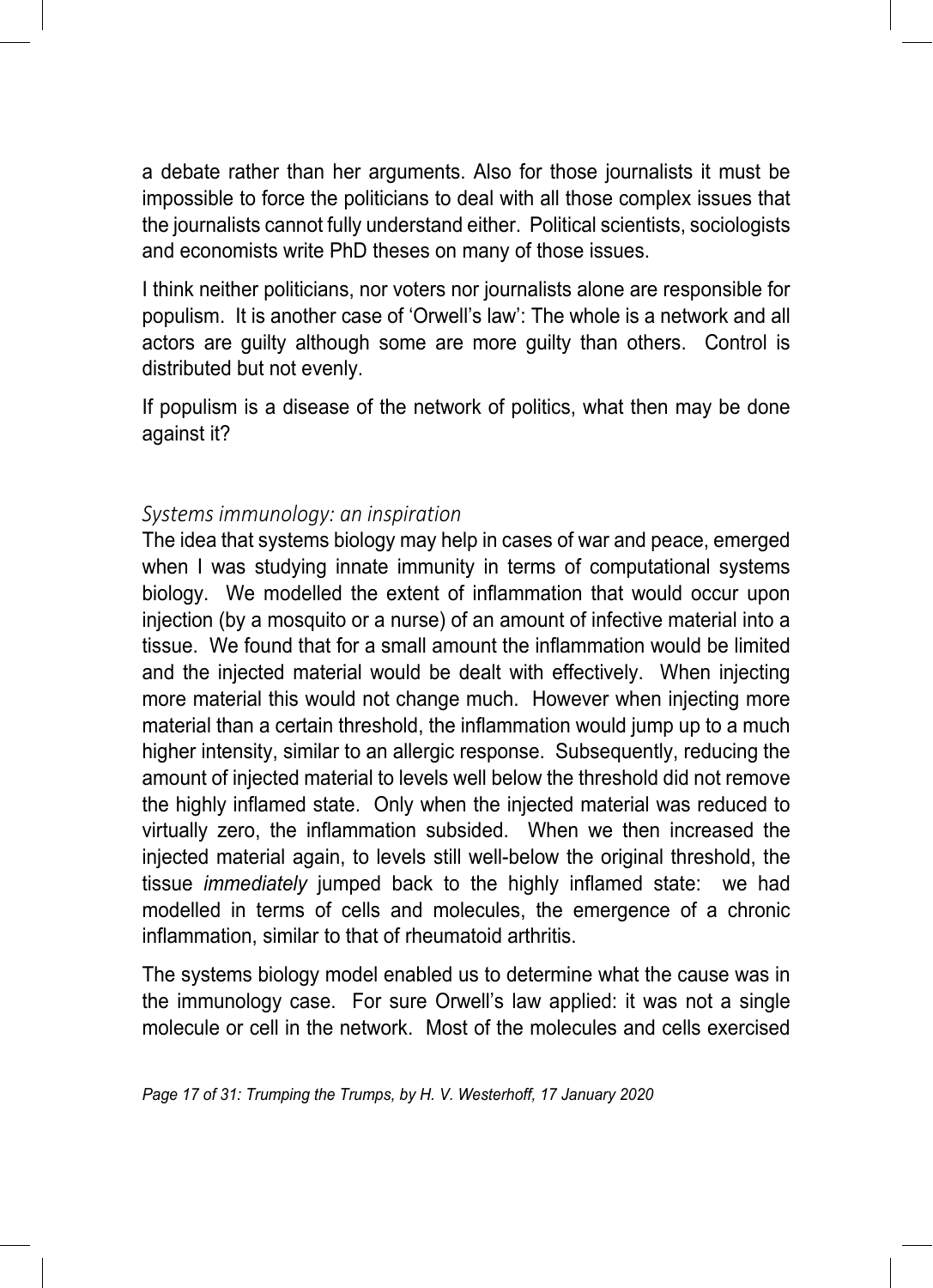a debate rather than her arguments. Also for those journalists it must be impossible to force the politicians to deal with all those complex issues that the journalists cannot fully understand either. Political scientists, sociologists and economists write PhD theses on many of those issues.

I think neither politicians, nor voters nor journalists alone are responsible for populism. It is another case of 'Orwell's law': The whole is a network and all actors are guilty although some are more guilty than others. Control is distributed but not evenly.

If populism is a disease of the network of politics, what then may be done against it?

#### *Systems immunology: an inspiration*

The idea that systems biology may help in cases of war and peace, emerged when I was studying innate immunity in terms of computational systems biology. We modelled the extent of inflammation that would occur upon injection (by a mosquito or a nurse) of an amount of infective material into a tissue. We found that for a small amount the inflammation would be limited and the injected material would be dealt with effectively. When injecting more material this would not change much. However when injecting more material than a certain threshold, the inflammation would jump up to a much higher intensity, similar to an allergic response. Subsequently, reducing the amount of injected material to levels well below the threshold did not remove the highly inflamed state. Only when the injected material was reduced to virtually zero, the inflammation subsided. When we then increased the injected material again, to levels still well-below the original threshold, the tissue *immediately* jumped back to the highly inflamed state: we had modelled in terms of cells and molecules, the emergence of a chronic inflammation, similar to that of rheumatoid arthritis.

The systems biology model enabled us to determine what the cause was in the immunology case. For sure Orwell's law applied: it was not a single molecule or cell in the network. Most of the molecules and cells exercised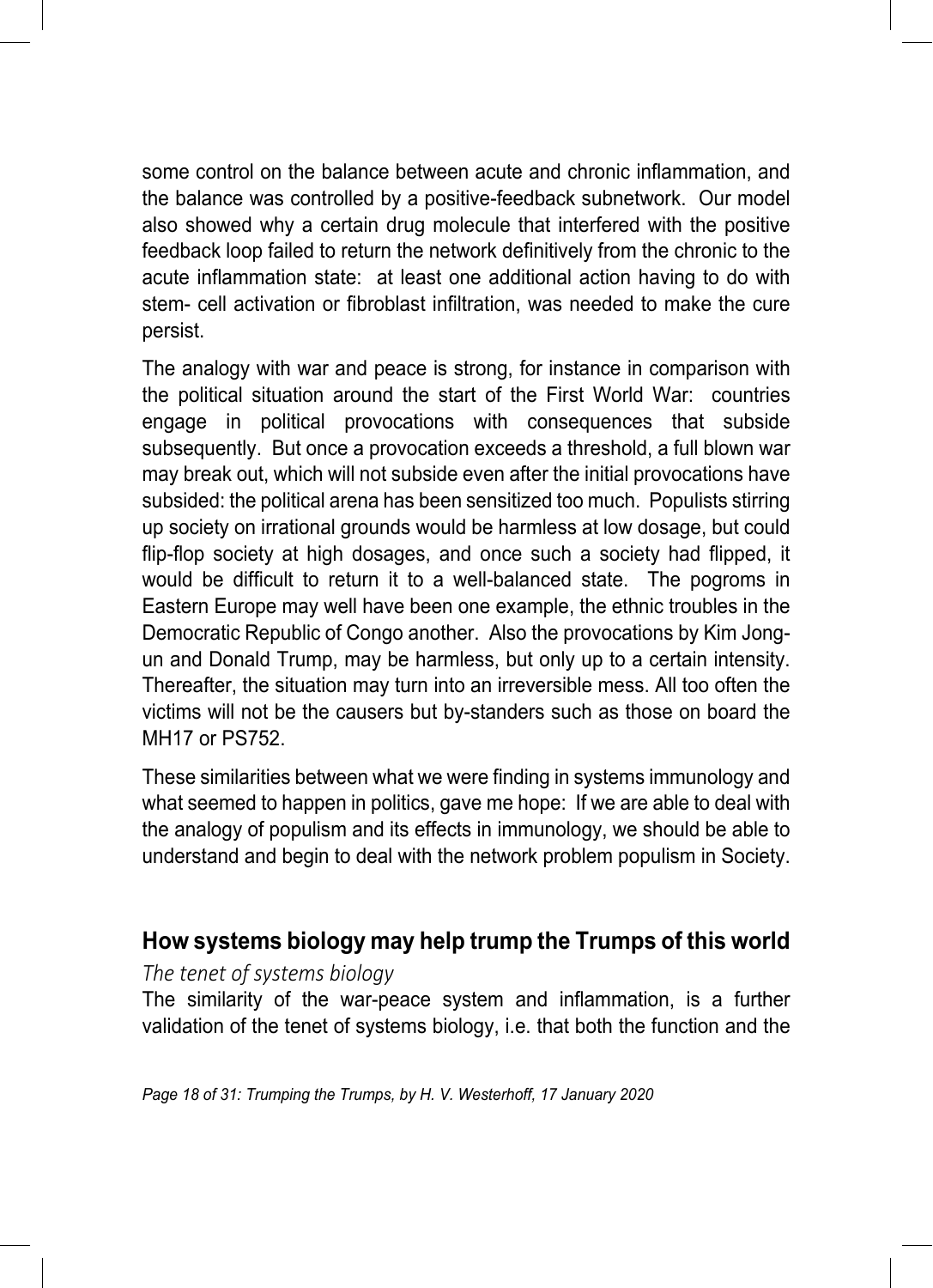some control on the balance between acute and chronic inflammation, and the balance was controlled by a positive-feedback subnetwork. Our model also showed why a certain drug molecule that interfered with the positive feedback loop failed to return the network definitively from the chronic to the acute inflammation state: at least one additional action having to do with stem- cell activation or fibroblast infiltration, was needed to make the cure persist.

The analogy with war and peace is strong, for instance in comparison with the political situation around the start of the First World War: countries engage in political provocations with consequences that subside subsequently. But once a provocation exceeds a threshold, a full blown war may break out, which will not subside even after the initial provocations have subsided: the political arena has been sensitized too much. Populists stirring up society on irrational grounds would be harmless at low dosage, but could flip-flop society at high dosages, and once such a society had flipped, it would be difficult to return it to a well-balanced state. The pogroms in Eastern Europe may well have been one example, the ethnic troubles in the Democratic Republic of Congo another. Also the provocations by Kim Jongun and Donald Trump, may be harmless, but only up to a certain intensity. Thereafter, the situation may turn into an irreversible mess. All too often the victims will not be the causers but by-standers such as those on board the MH17 or PS752.

These similarities between what we were finding in systems immunology and what seemed to happen in politics, gave me hope: If we are able to deal with the analogy of populism and its effects in immunology, we should be able to understand and begin to deal with the network problem populism in Society.

### **How systems biology may help trump the Trumps of this world**

#### *The tenet of systems biology*

The similarity of the war-peace system and inflammation, is a further validation of the tenet of systems biology, i.e. that both the function and the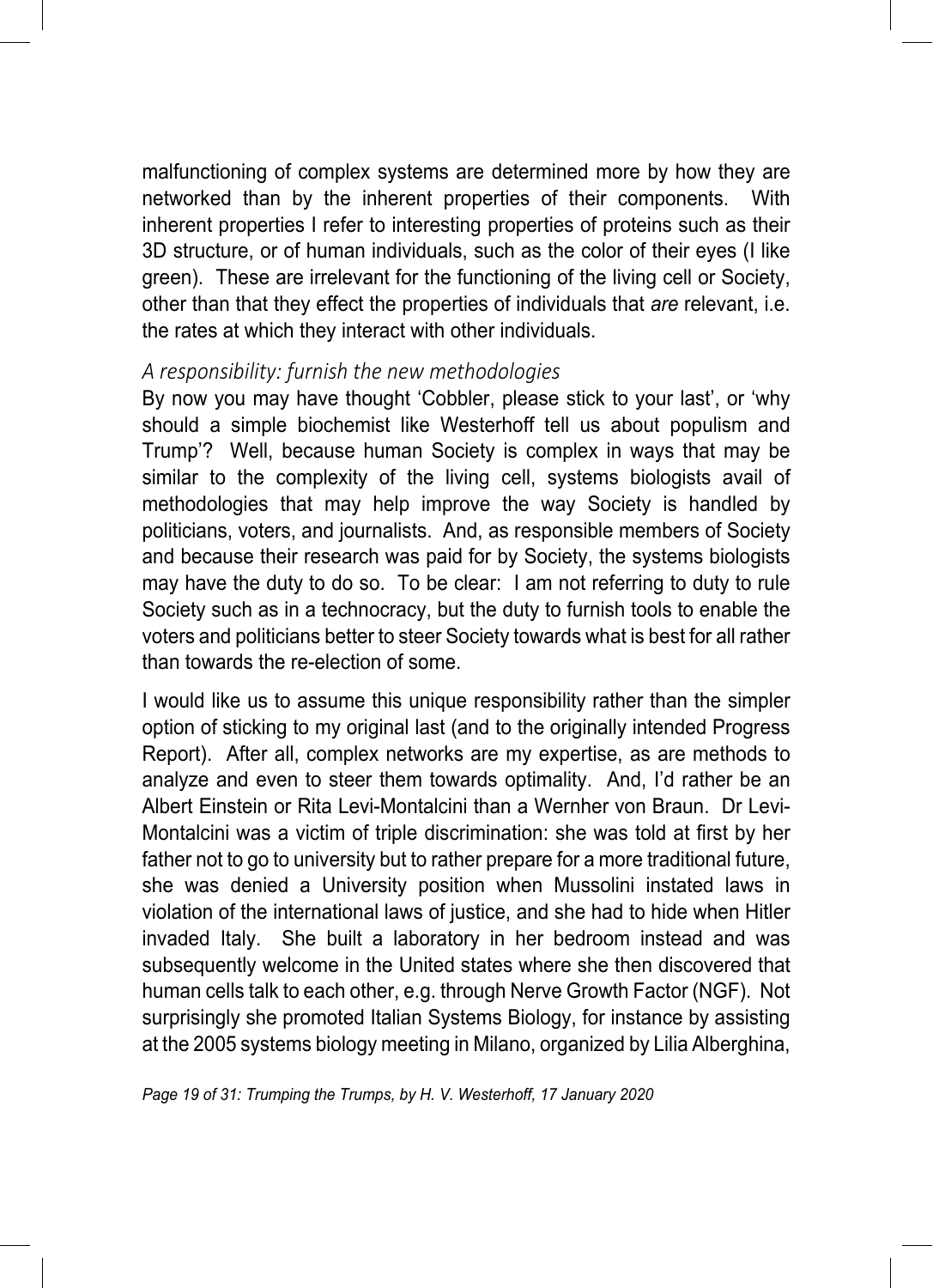malfunctioning of complex systems are determined more by how they are networked than by the inherent properties of their components. With inherent properties I refer to interesting properties of proteins such as their 3D structure, or of human individuals, such as the color of their eyes (I like green). These are irrelevant for the functioning of the living cell or Society, other than that they effect the properties of individuals that *are* relevant, i.e. the rates at which they interact with other individuals.

#### *A responsibility: furnish the new methodologies*

By now you may have thought 'Cobbler, please stick to your last', or 'why should a simple biochemist like Westerhoff tell us about populism and Trump'? Well, because human Society is complex in ways that may be similar to the complexity of the living cell, systems biologists avail of methodologies that may help improve the way Society is handled by politicians, voters, and journalists. And, as responsible members of Society and because their research was paid for by Society, the systems biologists may have the duty to do so. To be clear: I am not referring to duty to rule Society such as in a technocracy, but the duty to furnish tools to enable the voters and politicians better to steer Society towards what is best for all rather than towards the re-election of some.

I would like us to assume this unique responsibility rather than the simpler option of sticking to my original last (and to the originally intended Progress Report). After all, complex networks are my expertise, as are methods to analyze and even to steer them towards optimality. And, I'd rather be an Albert Einstein or Rita Levi-Montalcini than a Wernher von Braun. Dr Levi-Montalcini was a victim of triple discrimination: she was told at first by her father not to go to university but to rather prepare for a more traditional future, she was denied a University position when Mussolini instated laws in violation of the international laws of justice, and she had to hide when Hitler invaded Italy. She built a laboratory in her bedroom instead and was subsequently welcome in the United states where she then discovered that human cells talk to each other, e.g. through Nerve Growth Factor (NGF). Not surprisingly she promoted Italian Systems Biology, for instance by assisting at the 2005 systems biology meeting in Milano, organized by Lilia Alberghina,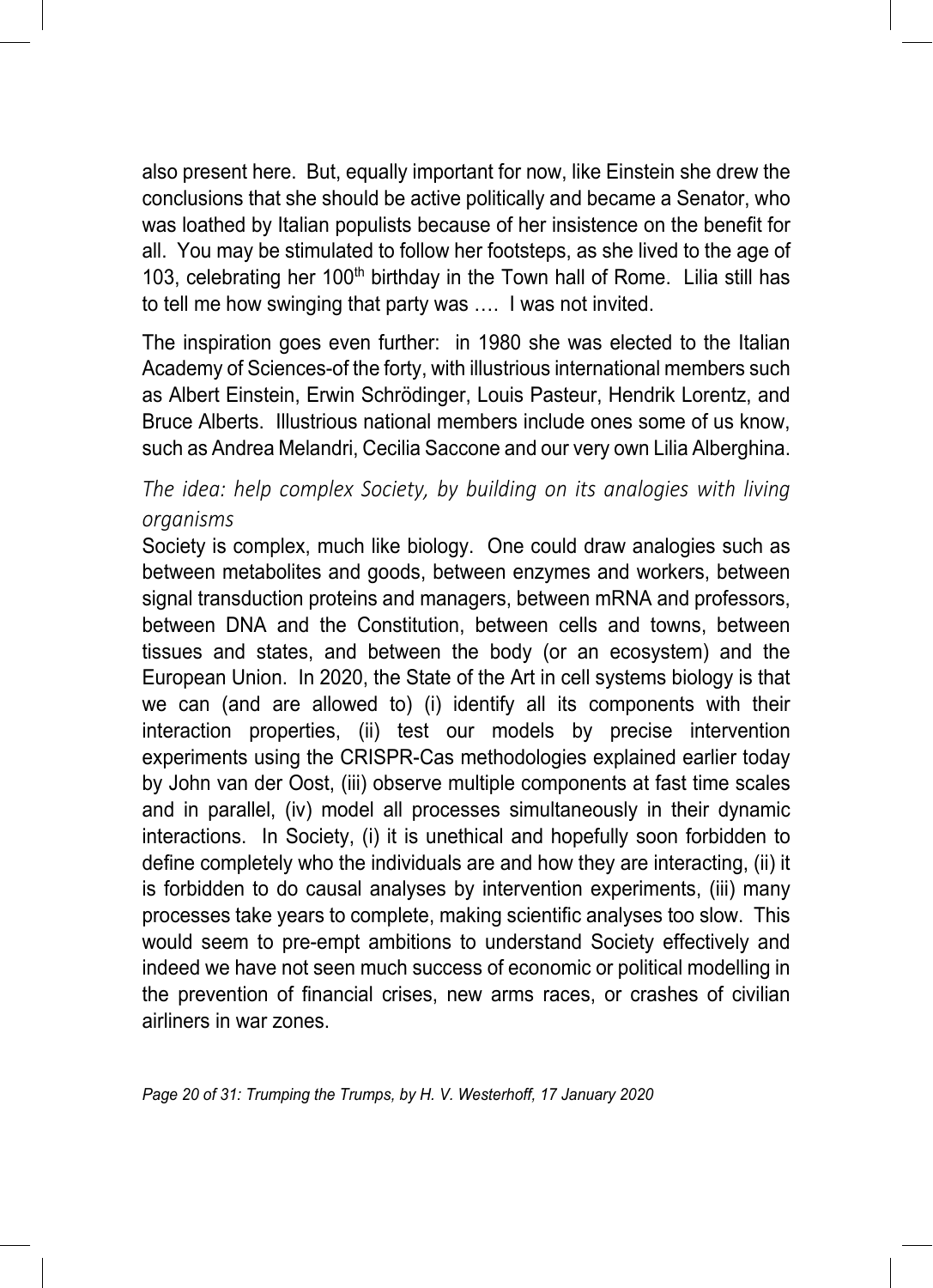also present here. But, equally important for now, like Einstein she drew the conclusions that she should be active politically and became a Senator, who was loathed by Italian populists because of her insistence on the benefit for all. You may be stimulated to follow her footsteps, as she lived to the age of 103, celebrating her 100<sup>th</sup> birthday in the Town hall of Rome. Lilia still has to tell me how swinging that party was …. I was not invited.

The inspiration goes even further: in 1980 she was elected to the Italian Academy of Sciences-of the forty, with illustrious international members such as Albert Einstein, Erwin Schrödinger, Louis Pasteur, Hendrik Lorentz, and Bruce Alberts. Illustrious national members include ones some of us know, such as Andrea Melandri, Cecilia Saccone and our very own Lilia Alberghina.

#### *The idea: help complex Society, by building on its analogies with living organisms*

Society is complex, much like biology. One could draw analogies such as between metabolites and goods, between enzymes and workers, between signal transduction proteins and managers, between mRNA and professors, between DNA and the Constitution, between cells and towns, between tissues and states, and between the body (or an ecosystem) and the European Union. In 2020, the State of the Art in cell systems biology is that we can (and are allowed to) (i) identify all its components with their interaction properties, (ii) test our models by precise intervention experiments using the CRISPR-Cas methodologies explained earlier today by John van der Oost, (iii) observe multiple components at fast time scales and in parallel, (iv) model all processes simultaneously in their dynamic interactions. In Society, (i) it is unethical and hopefully soon forbidden to define completely who the individuals are and how they are interacting, (ii) it is forbidden to do causal analyses by intervention experiments, (iii) many processes take years to complete, making scientific analyses too slow. This would seem to pre-empt ambitions to understand Society effectively and indeed we have not seen much success of economic or political modelling in the prevention of financial crises, new arms races, or crashes of civilian airliners in war zones.

*Page 20 of 31: Trumping the Trumps, by H. V. Westerhoff, 17 January 2020*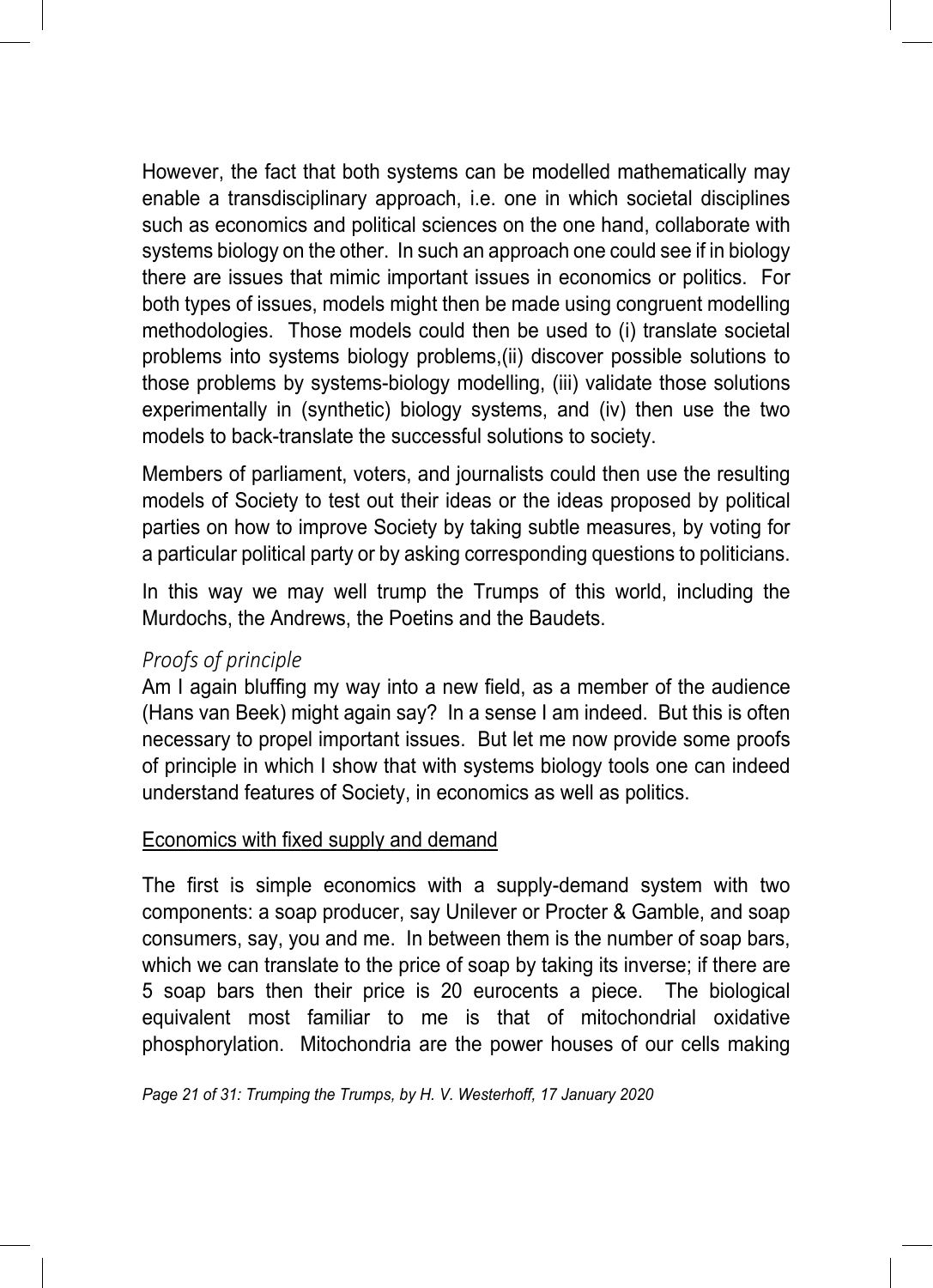However, the fact that both systems can be modelled mathematically may enable a transdisciplinary approach, i.e. one in which societal disciplines such as economics and political sciences on the one hand, collaborate with systems biology on the other. In such an approach one could see if in biology there are issues that mimic important issues in economics or politics. For both types of issues, models might then be made using congruent modelling methodologies. Those models could then be used to (i) translate societal problems into systems biology problems,(ii) discover possible solutions to those problems by systems-biology modelling, (iii) validate those solutions experimentally in (synthetic) biology systems, and (iv) then use the two models to back-translate the successful solutions to society.

Members of parliament, voters, and journalists could then use the resulting models of Society to test out their ideas or the ideas proposed by political parties on how to improve Society by taking subtle measures, by voting for a particular political party or by asking corresponding questions to politicians.

In this way we may well trump the Trumps of this world, including the Murdochs, the Andrews, the Poetins and the Baudets.

#### *Proofs of principle*

Am I again bluffing my way into a new field, as a member of the audience (Hans van Beek) might again say? In a sense I am indeed. But this is often necessary to propel important issues. But let me now provide some proofs of principle in which I show that with systems biology tools one can indeed understand features of Society, in economics as well as politics.

#### Economics with fixed supply and demand

The first is simple economics with a supply-demand system with two components: a soap producer, say Unilever or Procter & Gamble, and soap consumers, say, you and me. In between them is the number of soap bars, which we can translate to the price of soap by taking its inverse; if there are 5 soap bars then their price is 20 eurocents a piece. The biological equivalent most familiar to me is that of mitochondrial oxidative phosphorylation. Mitochondria are the power houses of our cells making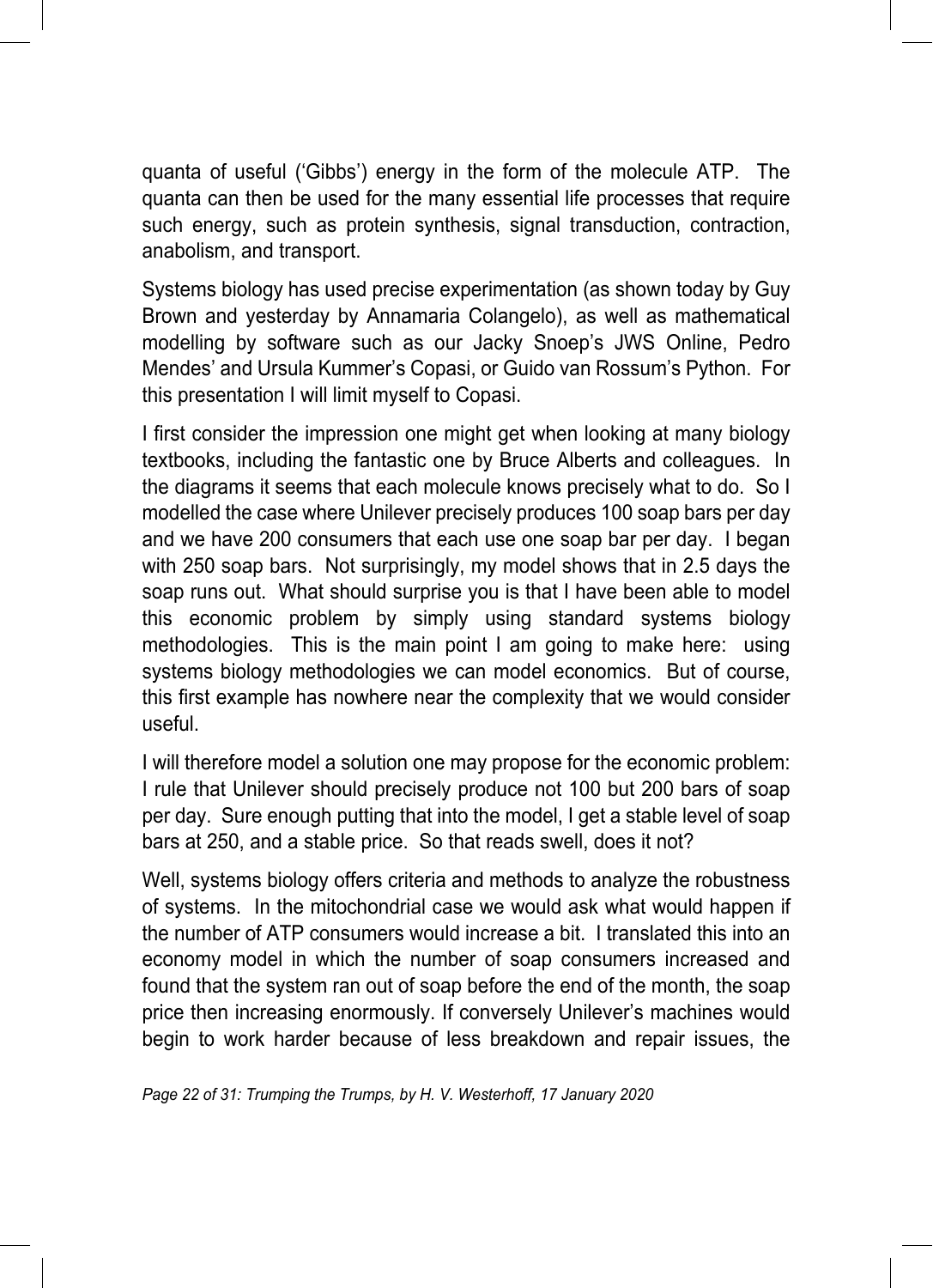quanta of useful ('Gibbs') energy in the form of the molecule ATP. The quanta can then be used for the many essential life processes that require such energy, such as protein synthesis, signal transduction, contraction, anabolism, and transport.

Systems biology has used precise experimentation (as shown today by Guy Brown and yesterday by Annamaria Colangelo), as well as mathematical modelling by software such as our Jacky Snoep's JWS Online, Pedro Mendes' and Ursula Kummer's Copasi, or Guido van Rossum's Python. For this presentation I will limit myself to Copasi.

I first consider the impression one might get when looking at many biology textbooks, including the fantastic one by Bruce Alberts and colleagues. In the diagrams it seems that each molecule knows precisely what to do. So I modelled the case where Unilever precisely produces 100 soap bars per day and we have 200 consumers that each use one soap bar per day. I began with 250 soap bars. Not surprisingly, my model shows that in 2.5 days the soap runs out. What should surprise you is that I have been able to model this economic problem by simply using standard systems biology methodologies. This is the main point I am going to make here: using systems biology methodologies we can model economics. But of course, this first example has nowhere near the complexity that we would consider useful.

I will therefore model a solution one may propose for the economic problem: I rule that Unilever should precisely produce not 100 but 200 bars of soap per day. Sure enough putting that into the model, I get a stable level of soap bars at 250, and a stable price. So that reads swell, does it not?

Well, systems biology offers criteria and methods to analyze the robustness of systems. In the mitochondrial case we would ask what would happen if the number of ATP consumers would increase a bit. I translated this into an economy model in which the number of soap consumers increased and found that the system ran out of soap before the end of the month, the soap price then increasing enormously. If conversely Unilever's machines would begin to work harder because of less breakdown and repair issues, the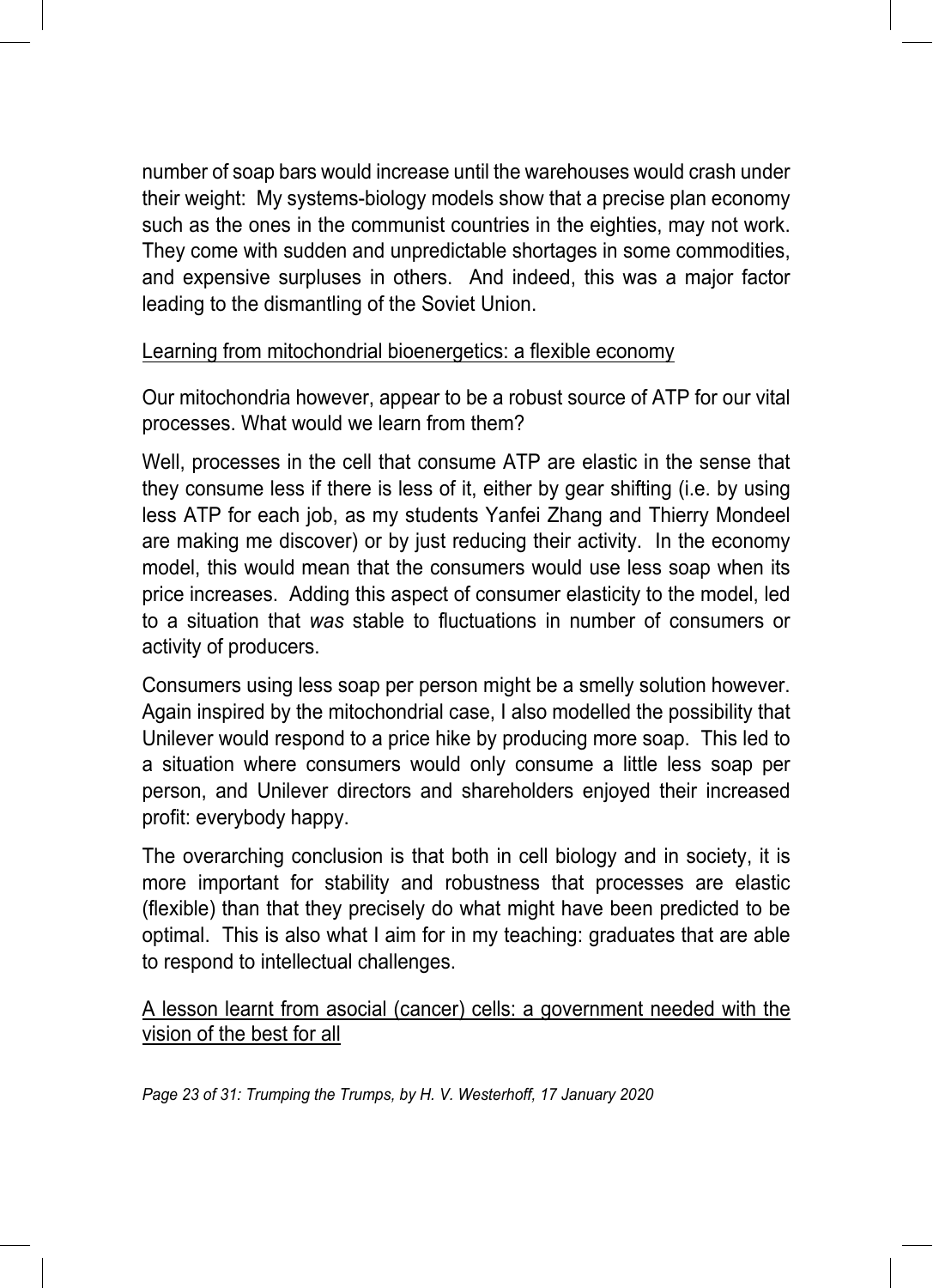number of soap bars would increase until the warehouses would crash under their weight: My systems-biology models show that a precise plan economy such as the ones in the communist countries in the eighties, may not work. They come with sudden and unpredictable shortages in some commodities, and expensive surpluses in others. And indeed, this was a major factor leading to the dismantling of the Soviet Union.

#### Learning from mitochondrial bioenergetics: a flexible economy

Our mitochondria however, appear to be a robust source of ATP for our vital processes. What would we learn from them?

Well, processes in the cell that consume ATP are elastic in the sense that they consume less if there is less of it, either by gear shifting (i.e. by using less ATP for each job, as my students Yanfei Zhang and Thierry Mondeel are making me discover) or by just reducing their activity. In the economy model, this would mean that the consumers would use less soap when its price increases. Adding this aspect of consumer elasticity to the model, led to a situation that *was* stable to fluctuations in number of consumers or activity of producers.

Consumers using less soap per person might be a smelly solution however. Again inspired by the mitochondrial case, I also modelled the possibility that Unilever would respond to a price hike by producing more soap. This led to a situation where consumers would only consume a little less soap per person, and Unilever directors and shareholders enjoyed their increased profit: everybody happy.

The overarching conclusion is that both in cell biology and in society, it is more important for stability and robustness that processes are elastic (flexible) than that they precisely do what might have been predicted to be optimal. This is also what I aim for in my teaching: graduates that are able to respond to intellectual challenges.

A lesson learnt from asocial (cancer) cells: a government needed with the vision of the best for all

*Page 23 of 31: Trumping the Trumps, by H. V. Westerhoff, 17 January 2020*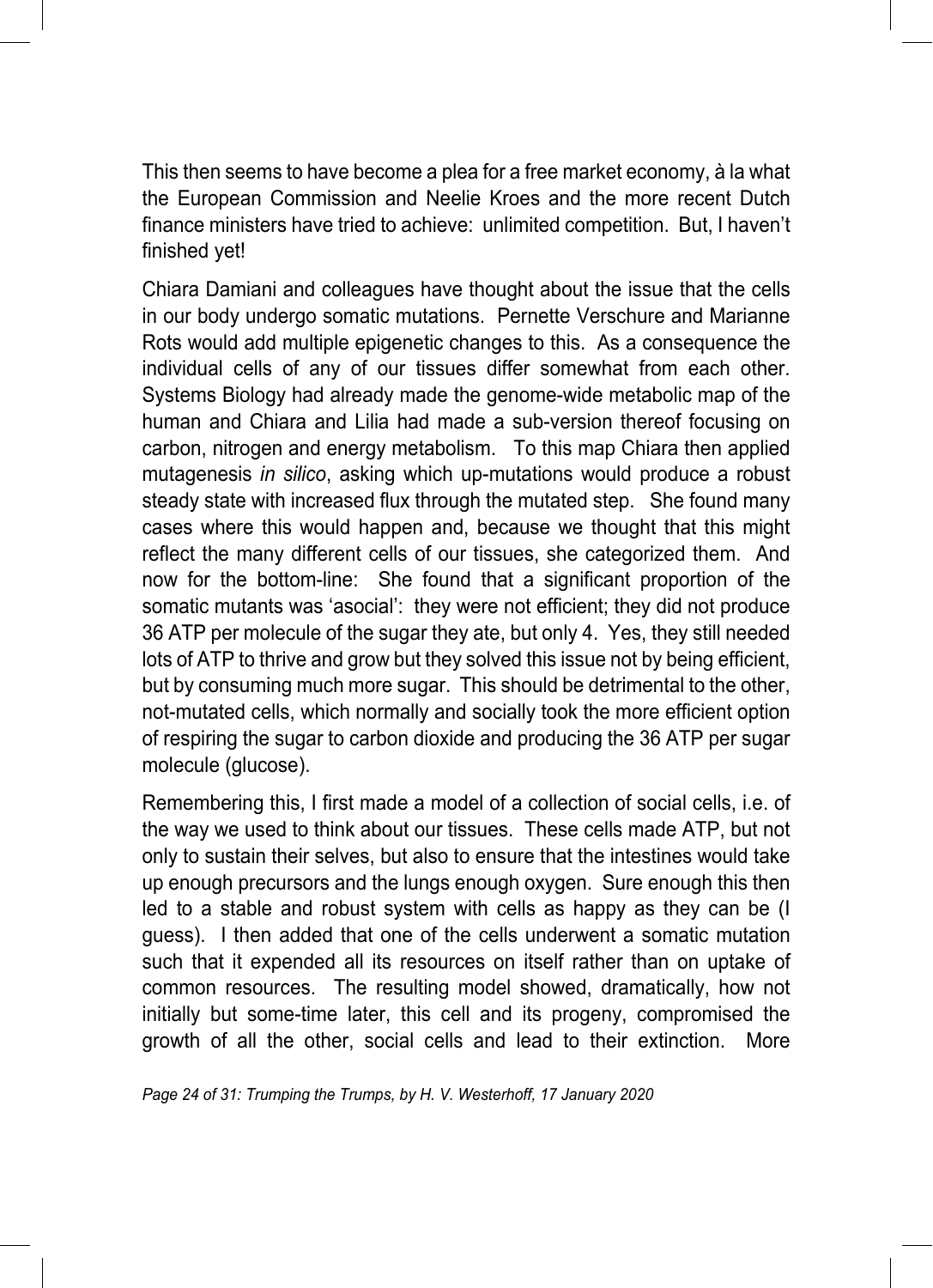This then seems to have become a plea for a free market economy, à la what the European Commission and Neelie Kroes and the more recent Dutch finance ministers have tried to achieve: unlimited competition. But, I haven't finished yet!

Chiara Damiani and colleagues have thought about the issue that the cells in our body undergo somatic mutations. Pernette Verschure and Marianne Rots would add multiple epigenetic changes to this. As a consequence the individual cells of any of our tissues differ somewhat from each other. Systems Biology had already made the genome-wide metabolic map of the human and Chiara and Lilia had made a sub-version thereof focusing on carbon, nitrogen and energy metabolism. To this map Chiara then applied mutagenesis *in silico*, asking which up-mutations would produce a robust steady state with increased flux through the mutated step. She found many cases where this would happen and, because we thought that this might reflect the many different cells of our tissues, she categorized them. And now for the bottom-line: She found that a significant proportion of the somatic mutants was 'asocial': they were not efficient; they did not produce 36 ATP per molecule of the sugar they ate, but only 4. Yes, they still needed lots of ATP to thrive and grow but they solved this issue not by being efficient, but by consuming much more sugar. This should be detrimental to the other, not-mutated cells, which normally and socially took the more efficient option of respiring the sugar to carbon dioxide and producing the 36 ATP per sugar molecule (glucose).

Remembering this, I first made a model of a collection of social cells, i.e. of the way we used to think about our tissues. These cells made ATP, but not only to sustain their selves, but also to ensure that the intestines would take up enough precursors and the lungs enough oxygen. Sure enough this then led to a stable and robust system with cells as happy as they can be (I guess). I then added that one of the cells underwent a somatic mutation such that it expended all its resources on itself rather than on uptake of common resources. The resulting model showed, dramatically, how not initially but some-time later, this cell and its progeny, compromised the growth of all the other, social cells and lead to their extinction. More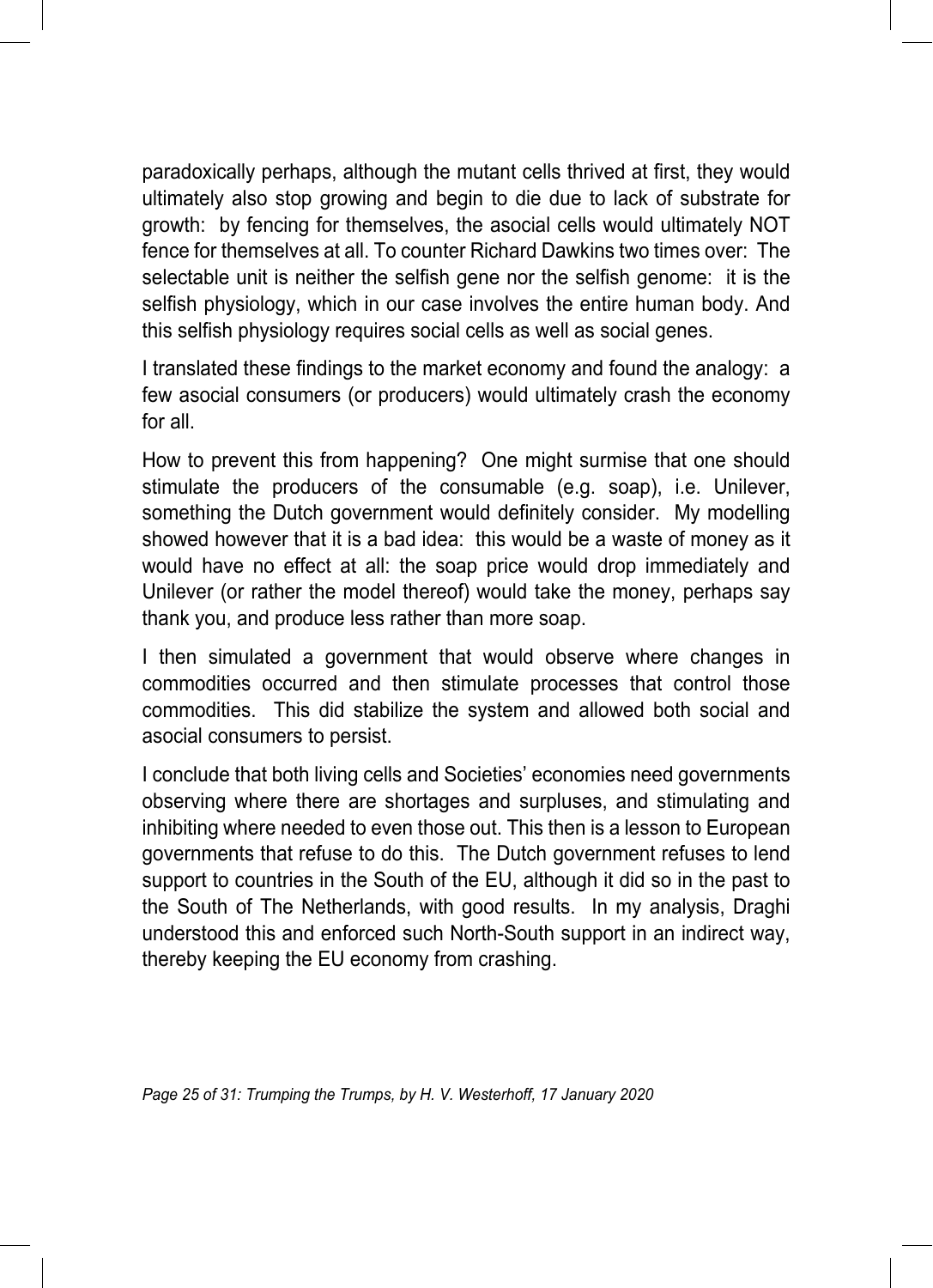paradoxically perhaps, although the mutant cells thrived at first, they would ultimately also stop growing and begin to die due to lack of substrate for growth: by fencing for themselves, the asocial cells would ultimately NOT fence for themselves at all. To counter Richard Dawkins two times over: The selectable unit is neither the selfish gene nor the selfish genome: it is the selfish physiology, which in our case involves the entire human body. And this selfish physiology requires social cells as well as social genes.

I translated these findings to the market economy and found the analogy: a few asocial consumers (or producers) would ultimately crash the economy for all.

How to prevent this from happening? One might surmise that one should stimulate the producers of the consumable (e.g. soap), i.e. Unilever, something the Dutch government would definitely consider. My modelling showed however that it is a bad idea: this would be a waste of money as it would have no effect at all: the soap price would drop immediately and Unilever (or rather the model thereof) would take the money, perhaps say thank you, and produce less rather than more soap.

I then simulated a government that would observe where changes in commodities occurred and then stimulate processes that control those commodities. This did stabilize the system and allowed both social and asocial consumers to persist.

I conclude that both living cells and Societies' economies need governments observing where there are shortages and surpluses, and stimulating and inhibiting where needed to even those out. This then is a lesson to European governments that refuse to do this. The Dutch government refuses to lend support to countries in the South of the EU, although it did so in the past to the South of The Netherlands, with good results. In my analysis, Draghi understood this and enforced such North-South support in an indirect way, thereby keeping the EU economy from crashing.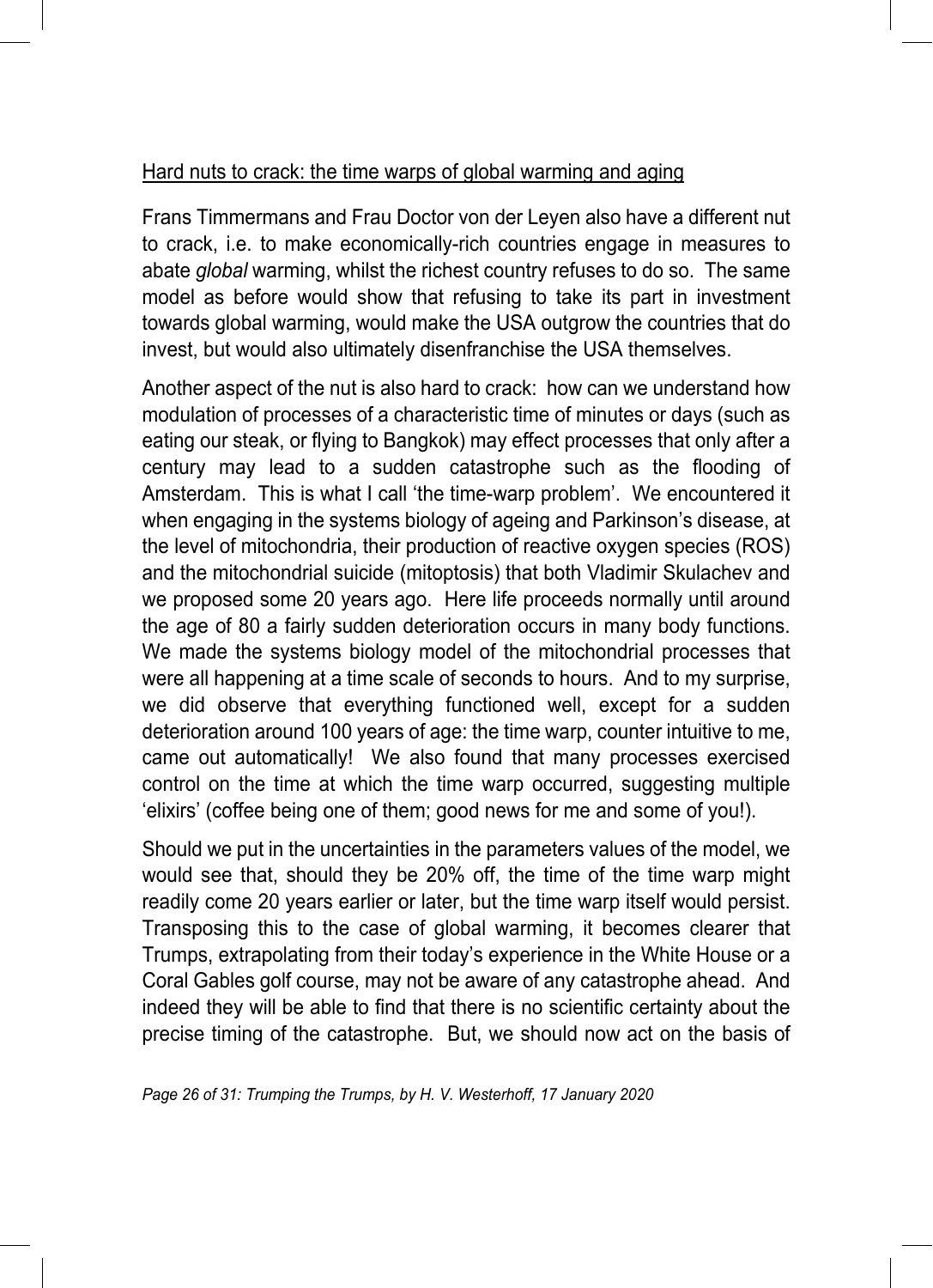#### Hard nuts to crack: the time warps of global warming and aging

Frans Timmermans and Frau Doctor von der Leyen also have a different nut to crack, i.e. to make economically-rich countries engage in measures to abate *global* warming, whilst the richest country refuses to do so. The same model as before would show that refusing to take its part in investment towards global warming, would make the USA outgrow the countries that do invest, but would also ultimately disenfranchise the USA themselves.

Another aspect of the nut is also hard to crack: how can we understand how modulation of processes of a characteristic time of minutes or days (such as eating our steak, or flying to Bangkok) may effect processes that only after a century may lead to a sudden catastrophe such as the flooding of Amsterdam. This is what I call 'the time-warp problem'. We encountered it when engaging in the systems biology of ageing and Parkinson's disease, at the level of mitochondria, their production of reactive oxygen species (ROS) and the mitochondrial suicide (mitoptosis) that both Vladimir Skulachev and we proposed some 20 years ago. Here life proceeds normally until around the age of 80 a fairly sudden deterioration occurs in many body functions. We made the systems biology model of the mitochondrial processes that were all happening at a time scale of seconds to hours. And to my surprise, we did observe that everything functioned well, except for a sudden deterioration around 100 years of age: the time warp, counter intuitive to me, came out automatically! We also found that many processes exercised control on the time at which the time warp occurred, suggesting multiple 'elixirs' (coffee being one of them; good news for me and some of you!).

Should we put in the uncertainties in the parameters values of the model, we would see that, should they be 20% off, the time of the time warp might readily come 20 years earlier or later, but the time warp itself would persist. Transposing this to the case of global warming, it becomes clearer that Trumps, extrapolating from their today's experience in the White House or a Coral Gables golf course, may not be aware of any catastrophe ahead. And indeed they will be able to find that there is no scientific certainty about the precise timing of the catastrophe. But, we should now act on the basis of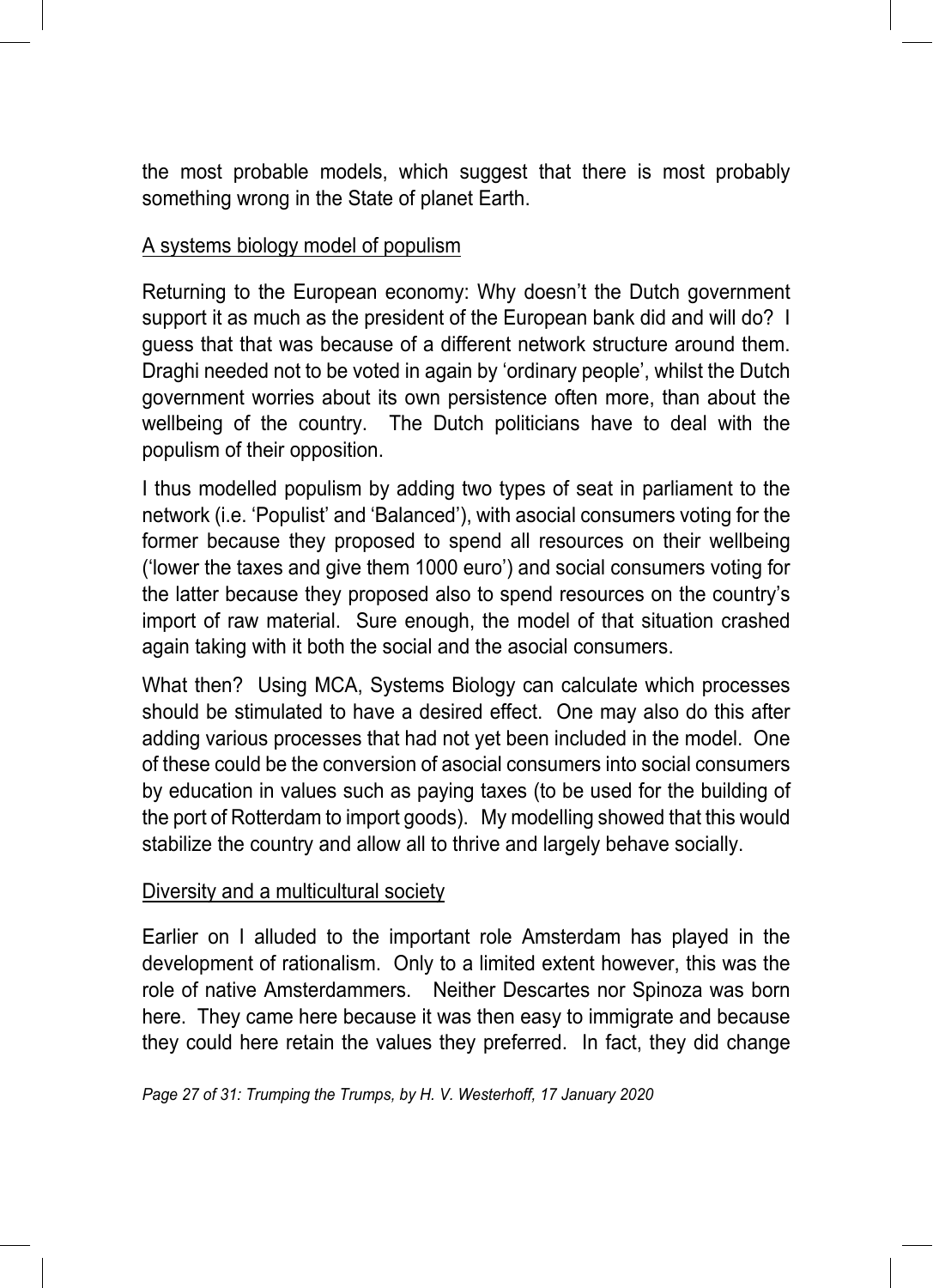the most probable models, which suggest that there is most probably something wrong in the State of planet Earth.

#### A systems biology model of populism

Returning to the European economy: Why doesn't the Dutch government support it as much as the president of the European bank did and will do? I guess that that was because of a different network structure around them. Draghi needed not to be voted in again by 'ordinary people', whilst the Dutch government worries about its own persistence often more, than about the wellbeing of the country. The Dutch politicians have to deal with the populism of their opposition.

I thus modelled populism by adding two types of seat in parliament to the network (i.e. 'Populist' and 'Balanced'), with asocial consumers voting for the former because they proposed to spend all resources on their wellbeing ('lower the taxes and give them 1000 euro') and social consumers voting for the latter because they proposed also to spend resources on the country's import of raw material. Sure enough, the model of that situation crashed again taking with it both the social and the asocial consumers.

What then? Using MCA, Systems Biology can calculate which processes should be stimulated to have a desired effect. One may also do this after adding various processes that had not yet been included in the model. One of these could be the conversion of asocial consumers into social consumers by education in values such as paying taxes (to be used for the building of the port of Rotterdam to import goods). My modelling showed that this would stabilize the country and allow all to thrive and largely behave socially.

#### Diversity and a multicultural society

Earlier on I alluded to the important role Amsterdam has played in the development of rationalism. Only to a limited extent however, this was the role of native Amsterdammers. Neither Descartes nor Spinoza was born here. They came here because it was then easy to immigrate and because they could here retain the values they preferred. In fact, they did change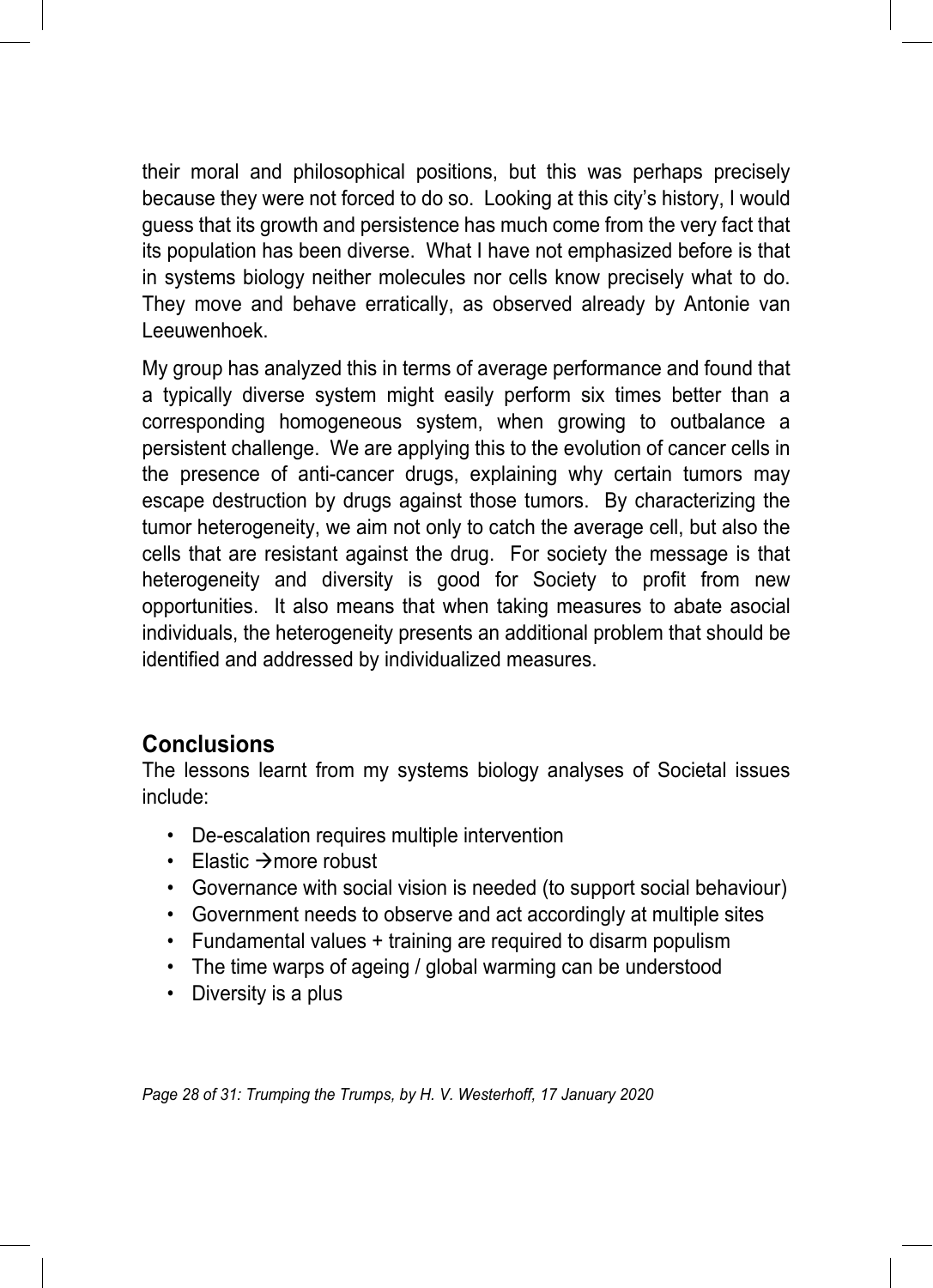their moral and philosophical positions, but this was perhaps precisely because they were not forced to do so. Looking at this city's history, I would guess that its growth and persistence has much come from the very fact that its population has been diverse. What I have not emphasized before is that in systems biology neither molecules nor cells know precisely what to do. They move and behave erratically, as observed already by Antonie van Leeuwenhoek.

My group has analyzed this in terms of average performance and found that a typically diverse system might easily perform six times better than a corresponding homogeneous system, when growing to outbalance a persistent challenge. We are applying this to the evolution of cancer cells in the presence of anti-cancer drugs, explaining why certain tumors may escape destruction by drugs against those tumors. By characterizing the tumor heterogeneity, we aim not only to catch the average cell, but also the cells that are resistant against the drug. For society the message is that heterogeneity and diversity is good for Society to profit from new opportunities. It also means that when taking measures to abate asocial individuals, the heterogeneity presents an additional problem that should be identified and addressed by individualized measures.

#### **Conclusions**

The lessons learnt from my systems biology analyses of Societal issues include:

- De-escalation requires multiple intervention
- Elastic  $\rightarrow$  more robust
- Governance with social vision is needed (to support social behaviour)
- Government needs to observe and act accordingly at multiple sites
- Fundamental values + training are required to disarm populism
- The time warps of ageing / global warming can be understood
- Diversity is a plus

*Page 28 of 31: Trumping the Trumps, by H. V. Westerhoff, 17 January 2020*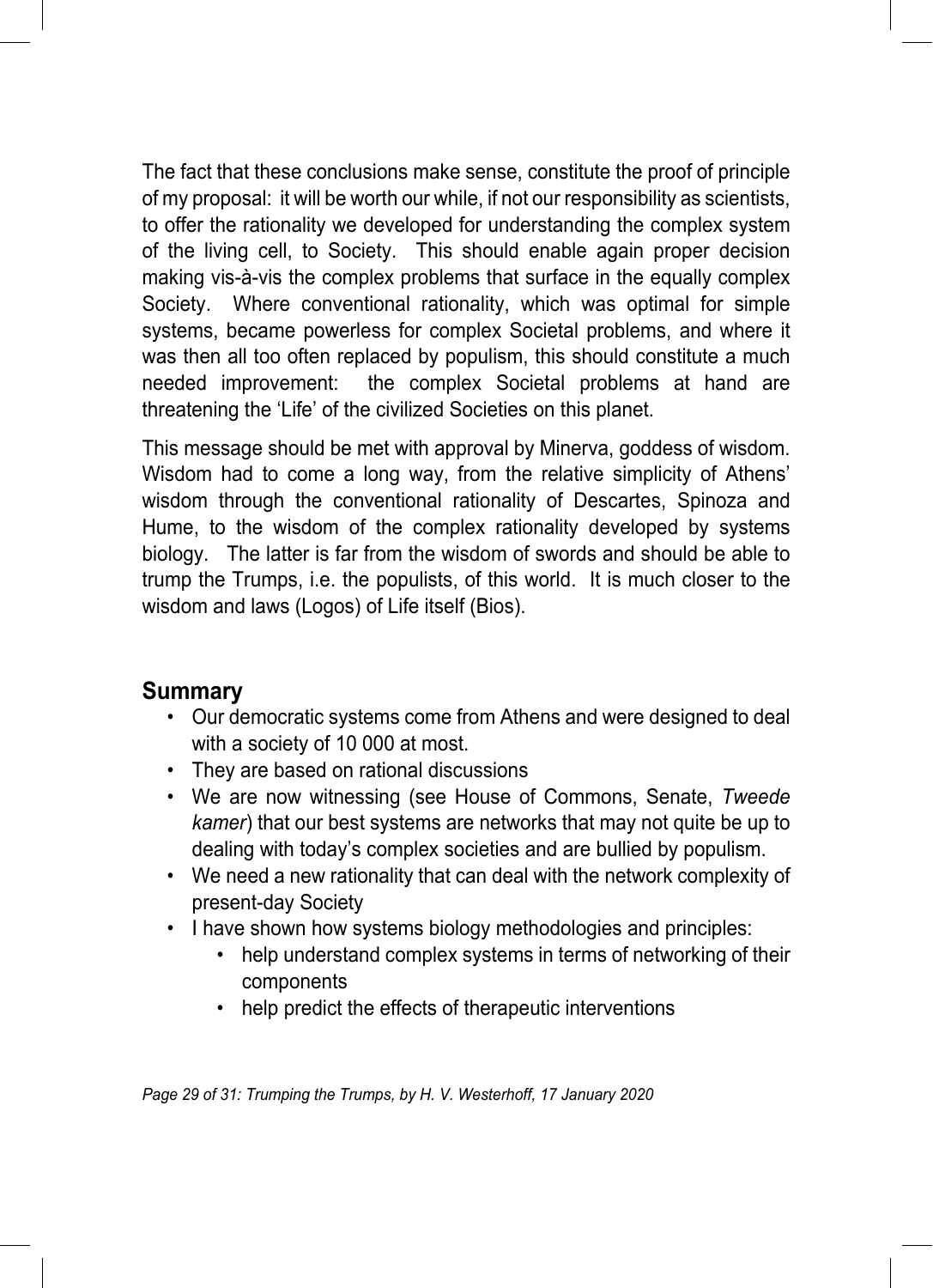The fact that these conclusions make sense, constitute the proof of principle of my proposal: it will be worth our while, if not our responsibility as scientists, to offer the rationality we developed for understanding the complex system of the living cell, to Society. This should enable again proper decision making vis-à-vis the complex problems that surface in the equally complex Society. Where conventional rationality, which was optimal for simple systems, became powerless for complex Societal problems, and where it was then all too often replaced by populism, this should constitute a much needed improvement: the complex Societal problems at hand are threatening the 'Life' of the civilized Societies on this planet.

This message should be met with approval by Minerva, goddess of wisdom. Wisdom had to come a long way, from the relative simplicity of Athens' wisdom through the conventional rationality of Descartes, Spinoza and Hume, to the wisdom of the complex rationality developed by systems biology. The latter is far from the wisdom of swords and should be able to trump the Trumps, i.e. the populists, of this world. It is much closer to the wisdom and laws (Logos) of Life itself (Bios).

#### **Summary**

- Our democratic systems come from Athens and were designed to deal with a society of 10 000 at most.
- They are based on rational discussions
- We are now witnessing (see House of Commons, Senate, *Tweede kamer*) that our best systems are networks that may not quite be up to dealing with today's complex societies and are bullied by populism.
- We need a new rationality that can deal with the network complexity of present-day Society
- I have shown how systems biology methodologies and principles:
	- help understand complex systems in terms of networking of their components
	- help predict the effects of therapeutic interventions

*Page 29 of 31: Trumping the Trumps, by H. V. Westerhoff, 17 January 2020*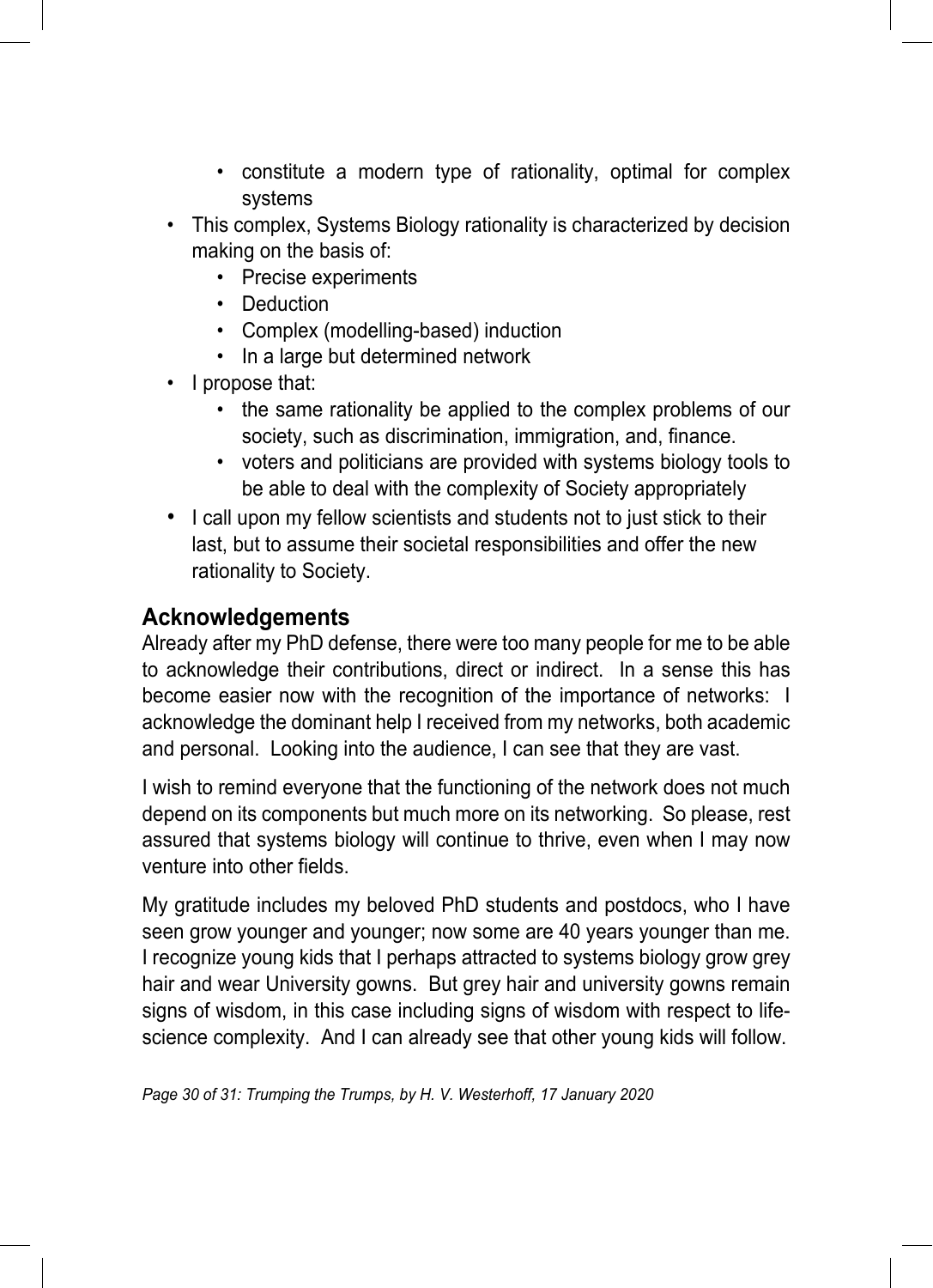- constitute a modern type of rationality, optimal for complex systems
- This complex, Systems Biology rationality is characterized by decision making on the basis of:
	- Precise experiments
	- Deduction
	- Complex (modelling-based) induction
	- In a large but determined network
- I propose that:
	- the same rationality be applied to the complex problems of our society, such as discrimination, immigration, and, finance.
	- voters and politicians are provided with systems biology tools to be able to deal with the complexity of Society appropriately
- I call upon my fellow scientists and students not to just stick to their last, but to assume their societal responsibilities and offer the new rationality to Society.

#### **Acknowledgements**

Already after my PhD defense, there were too many people for me to be able to acknowledge their contributions, direct or indirect. In a sense this has become easier now with the recognition of the importance of networks: I acknowledge the dominant help I received from my networks, both academic and personal. Looking into the audience, I can see that they are vast.

I wish to remind everyone that the functioning of the network does not much depend on its components but much more on its networking. So please, rest assured that systems biology will continue to thrive, even when I may now venture into other fields.

My gratitude includes my beloved PhD students and postdocs, who I have seen grow younger and younger; now some are 40 years younger than me. I recognize young kids that I perhaps attracted to systems biology grow grey hair and wear University gowns. But grey hair and university gowns remain signs of wisdom, in this case including signs of wisdom with respect to lifescience complexity. And I can already see that other young kids will follow.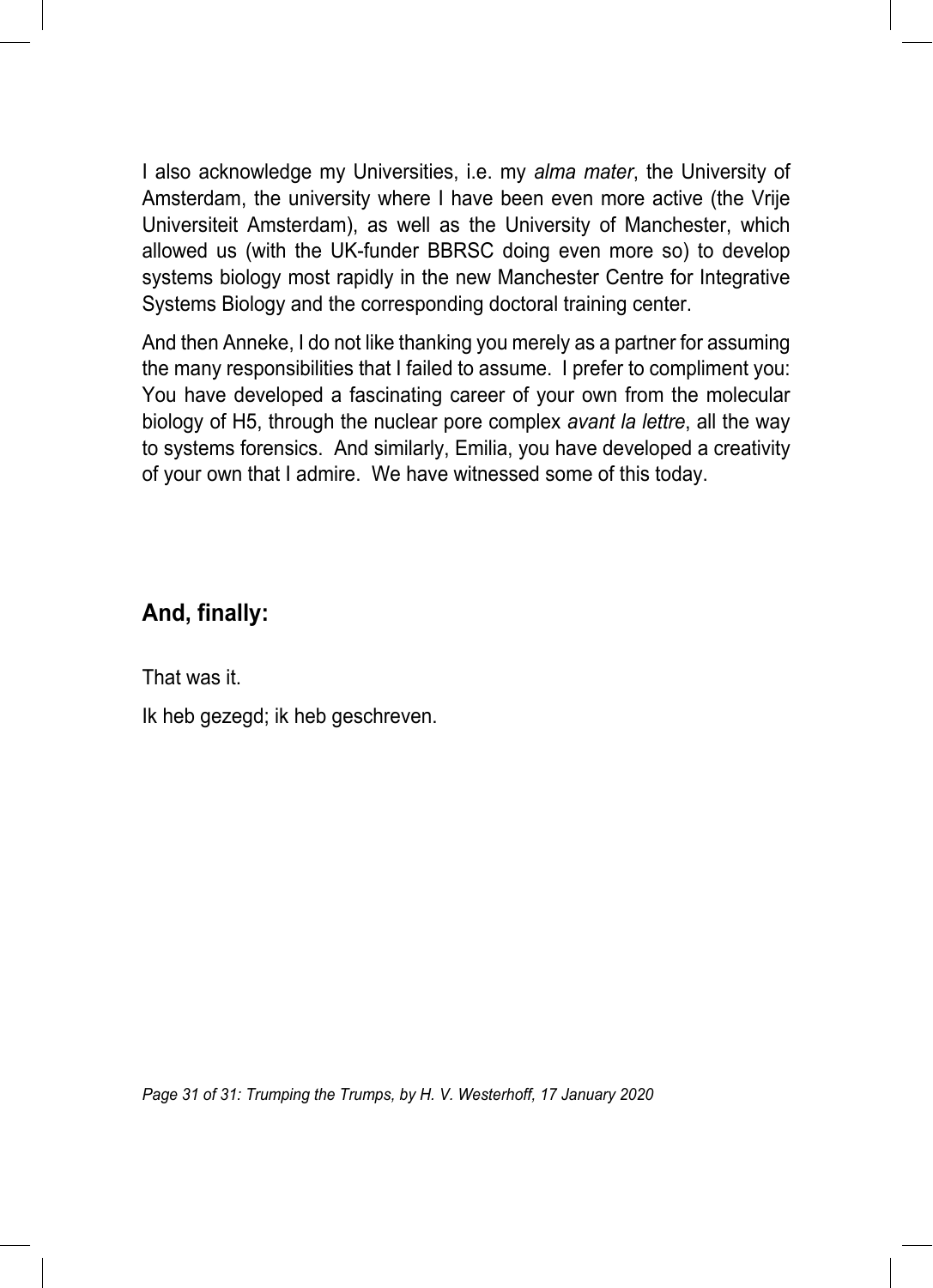I also acknowledge my Universities, i.e. my *alma mater*, the University of Amsterdam, the university where I have been even more active (the Vrije Universiteit Amsterdam), as well as the University of Manchester, which allowed us (with the UK-funder BBRSC doing even more so) to develop systems biology most rapidly in the new Manchester Centre for Integrative Systems Biology and the corresponding doctoral training center.

And then Anneke, I do not like thanking you merely as a partner for assuming the many responsibilities that I failed to assume. I prefer to compliment you: You have developed a fascinating career of your own from the molecular biology of H5, through the nuclear pore complex *avant la lettre*, all the way to systems forensics. And similarly, Emilia, you have developed a creativity of your own that I admire. We have witnessed some of this today.

### **And, finally:**

That was it.

Ik heb gezegd; ik heb geschreven.

*Page 31 of 31: Trumping the Trumps, by H. V. Westerhoff, 17 January 2020*